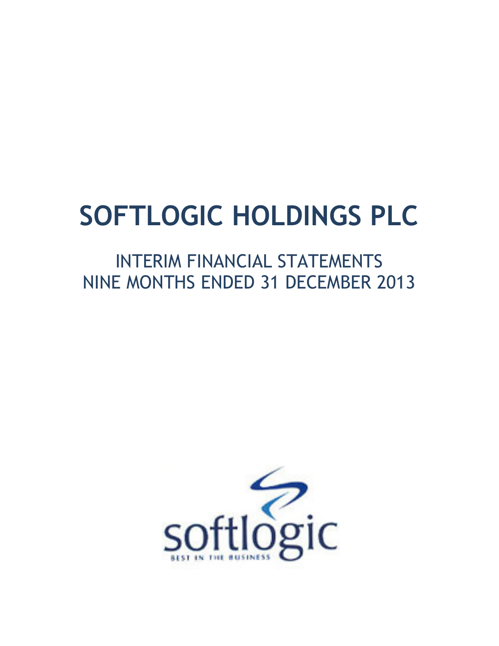# SOFTLOGIC HOLDINGS PLC

# INTERIM FINANCIAL STATEMENTS NINE MONTHS ENDED 31 DECEMBER 2013

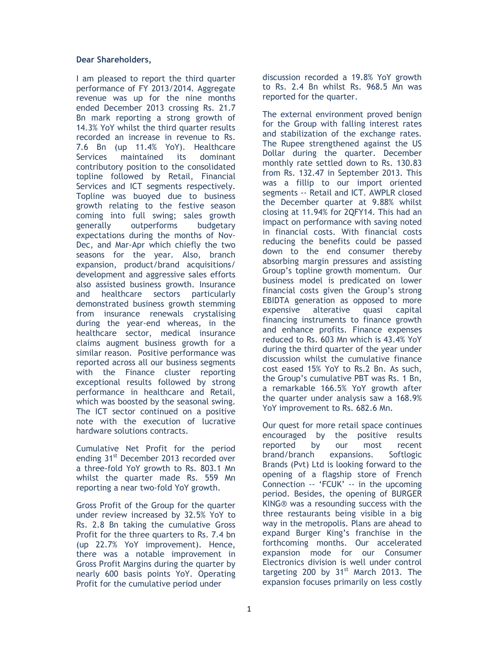### Dear Shareholders,

I am pleased to report the third quarter performance of FY 2013/2014. Aggregate revenue was up for the nine months ended December 2013 crossing Rs. 21.7 Bn mark reporting a strong growth of 14.3% YoY whilst the third quarter results recorded an increase in revenue to Rs. 7.6 Bn (up 11.4% YoY). Healthcare Services maintained its dominant contributory position to the consolidated topline followed by Retail, Financial Services and ICT segments respectively. Topline was buoyed due to business growth relating to the festive season coming into full swing; sales growth generally outperforms budgetary expectations during the months of Nov-Dec, and Mar-Apr which chiefly the two seasons for the year. Also, branch expansion, product/brand acquisitions/ development and aggressive sales efforts also assisted business growth. Insurance and healthcare sectors particularly demonstrated business growth stemming from insurance renewals crystalising during the year-end whereas, in the healthcare sector, medical insurance claims augment business growth for a similar reason. Positive performance was reported across all our business segments with the Finance cluster reporting exceptional results followed by strong performance in healthcare and Retail, which was boosted by the seasonal swing. The ICT sector continued on a positive note with the execution of lucrative hardware solutions contracts.

Cumulative Net Profit for the period ending 31<sup>st</sup> December 2013 recorded over a three-fold YoY growth to Rs. 803.1 Mn whilst the quarter made Rs. 559 Mn reporting a near two-fold YoY growth.

Gross Profit of the Group for the quarter under review increased by 32.5% YoY to Rs. 2.8 Bn taking the cumulative Gross Profit for the three quarters to Rs. 7.4 bn (up 22.7% YoY improvement). Hence, there was a notable improvement in Gross Profit Margins during the quarter by nearly 600 basis points YoY. Operating Profit for the cumulative period under

discussion recorded a 19.8% YoY growth to Rs. 2.4 Bn whilst Rs. 968.5 Mn was reported for the quarter.

The external environment proved benign for the Group with falling interest rates and stabilization of the exchange rates. The Rupee strengthened against the US Dollar during the quarter. December monthly rate settled down to Rs. 130.83 from Rs. 132.47 in September 2013. This was a fillip to our import oriented segments -- Retail and ICT. AWPLR closed the December quarter at 9.88% whilst closing at 11.94% for 2QFY14. This had an impact on performance with saving noted in financial costs. With financial costs reducing the benefits could be passed down to the end consumer thereby absorbing margin pressures and assisting Group's topline growth momentum. Our business model is predicated on lower financial costs given the Group's strong EBIDTA generation as opposed to more expensive alterative quasi capital financing instruments to finance growth and enhance profits. Finance expenses reduced to Rs. 603 Mn which is 43.4% YoY during the third quarter of the year under discussion whilst the cumulative finance cost eased 15% YoY to Rs.2 Bn. As such, the Group's cumulative PBT was Rs. 1 Bn, a remarkable 166.5% YoY growth after the quarter under analysis saw a 168.9% YoY improvement to Rs. 682.6 Mn.

Our quest for more retail space continues encouraged by the positive results reported by our most recent brand/branch expansions. Softlogic Brands (Pvt) Ltd is looking forward to the opening of a flagship store of French Connection -- 'FCUK' -- in the upcoming period. Besides, the opening of BURGER KING® was a resounding success with the three restaurants being visible in a big way in the metropolis. Plans are ahead to expand Burger King's franchise in the forthcoming months. Our accelerated expansion mode for our Consumer Electronics division is well under control targeting 200 by  $31<sup>st</sup>$  March 2013. The expansion focuses primarily on less costly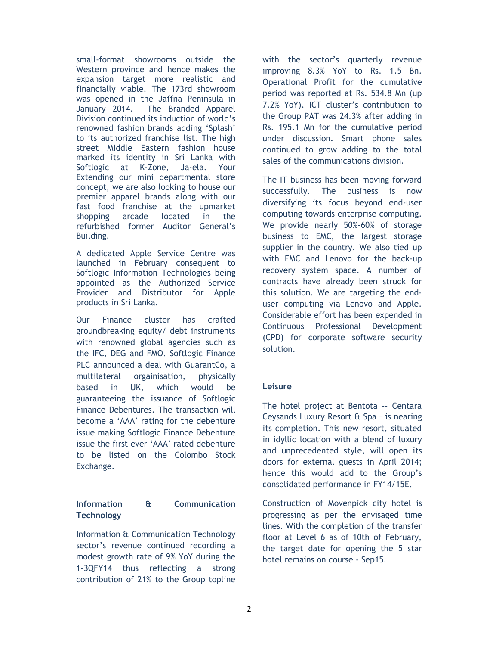small-format showrooms outside the Western province and hence makes the expansion target more realistic and financially viable. The 173rd showroom was opened in the Jaffna Peninsula in January 2014. The Branded Apparel Division continued its induction of world's renowned fashion brands adding 'Splash' to its authorized franchise list. The high street Middle Eastern fashion house marked its identity in Sri Lanka with Softlogic at K-Zone, Ja-ela. Your Extending our mini departmental store concept, we are also looking to house our premier apparel brands along with our fast food franchise at the upmarket shopping arcade located in the refurbished former Auditor General's Building.

A dedicated Apple Service Centre was launched in February consequent to Softlogic Information Technologies being appointed as the Authorized Service Provider and Distributor for Apple products in Sri Lanka.

Our Finance cluster has crafted groundbreaking equity/ debt instruments with renowned global agencies such as the IFC, DEG and FMO. Softlogic Finance PLC announced a deal with GuarantCo, a multilateral orgainisation, physically based in UK, which would be guaranteeing the issuance of Softlogic Finance Debentures. The transaction will become a 'AAA' rating for the debenture issue making Softlogic Finance Debenture issue the first ever 'AAA' rated debenture to be listed on the Colombo Stock Exchange.

### Information & Communication **Technology**

Information & Communication Technology sector's revenue continued recording a modest growth rate of 9% YoY during the 1-3QFY14 thus reflecting a strong contribution of 21% to the Group topline

with the sector's quarterly revenue improving 8.3% YoY to Rs. 1.5 Bn. Operational Profit for the cumulative period was reported at Rs. 534.8 Mn (up 7.2% YoY). ICT cluster's contribution to the Group PAT was 24.3% after adding in Rs. 195.1 Mn for the cumulative period under discussion. Smart phone sales continued to grow adding to the total sales of the communications division.

The IT business has been moving forward successfully. The business is now diversifying its focus beyond end-user computing towards enterprise computing. We provide nearly 50%-60% of storage business to EMC, the largest storage supplier in the country. We also tied up with EMC and Lenovo for the back-up recovery system space. A number of contracts have already been struck for this solution. We are targeting the enduser computing via Lenovo and Apple. Considerable effort has been expended in Continuous Professional Development (CPD) for corporate software security solution.

### **Leisure**

The hotel project at Bentota -- Centara Ceysands Luxury Resort & Spa – is nearing its completion. This new resort, situated in idyllic location with a blend of luxury and unprecedented style, will open its doors for external guests in April 2014; hence this would add to the Group's consolidated performance in FY14/15E.

Construction of Movenpick city hotel is progressing as per the envisaged time lines. With the completion of the transfer floor at Level 6 as of 10th of February, the target date for opening the 5 star hotel remains on course - Sep15.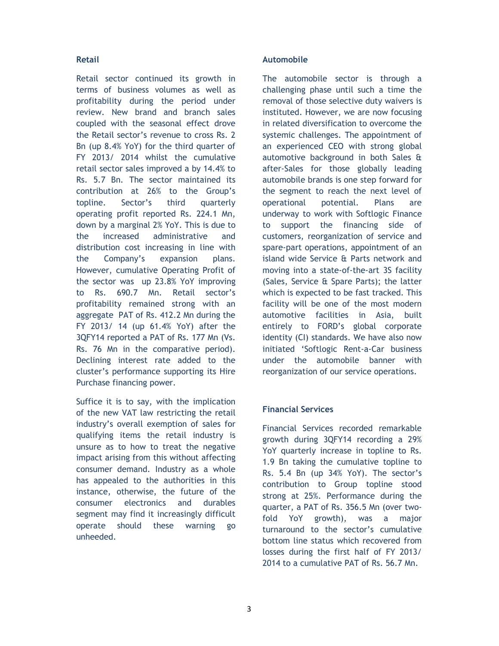### Retail

Retail sector continued its growth in terms of business volumes as well as profitability during the period under review. New brand and branch sales coupled with the seasonal effect drove the Retail sector's revenue to cross Rs. 2 Bn (up 8.4% YoY) for the third quarter of FY 2013/ 2014 whilst the cumulative retail sector sales improved a by 14.4% to Rs. 5.7 Bn. The sector maintained its contribution at 26% to the Group's topline. Sector's third quarterly operating profit reported Rs. 224.1 Mn, down by a marginal 2% YoY. This is due to the increased administrative and distribution cost increasing in line with the Company's expansion plans. However, cumulative Operating Profit of the sector was up 23.8% YoY improving to Rs. 690.7 Mn. Retail sector's profitability remained strong with an aggregate PAT of Rs. 412.2 Mn during the FY 2013/ 14 (up 61.4% YoY) after the 3QFY14 reported a PAT of Rs. 177 Mn (Vs. Rs. 76 Mn in the comparative period). Declining interest rate added to the cluster's performance supporting its Hire Purchase financing power.

Suffice it is to say, with the implication of the new VAT law restricting the retail industry's overall exemption of sales for qualifying items the retail industry is unsure as to how to treat the negative impact arising from this without affecting consumer demand. Industry as a whole has appealed to the authorities in this instance, otherwise, the future of the consumer electronics and durables segment may find it increasingly difficult operate should these warning go unheeded.

### Automobile

The automobile sector is through a challenging phase until such a time the removal of those selective duty waivers is instituted. However, we are now focusing in related diversification to overcome the systemic challenges. The appointment of an experienced CEO with strong global automotive background in both Sales & after-Sales for those globally leading automobile brands is one step forward for the segment to reach the next level of operational potential. Plans are underway to work with Softlogic Finance to support the financing side of customers, reorganization of service and spare-part operations, appointment of an island wide Service & Parts network and moving into a state-of-the-art 3S facility (Sales, Service & Spare Parts); the latter which is expected to be fast tracked. This facility will be one of the most modern automotive facilities in Asia, built entirely to FORD's global corporate identity (CI) standards. We have also now initiated 'Softlogic Rent-a-Car business under the automobile banner with reorganization of our service operations.

### Financial Services

Financial Services recorded remarkable growth during 3QFY14 recording a 29% YoY quarterly increase in topline to Rs. 1.9 Bn taking the cumulative topline to Rs. 5.4 Bn (up 34% YoY). The sector's contribution to Group topline stood strong at 25%. Performance during the quarter, a PAT of Rs. 356.5 Mn (over twofold YoY growth), was a major turnaround to the sector's cumulative bottom line status which recovered from losses during the first half of FY 2013/ 2014 to a cumulative PAT of Rs. 56.7 Mn.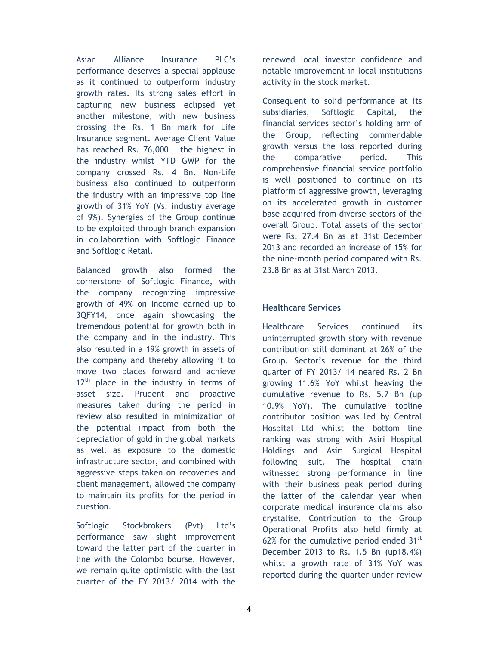Asian Alliance Insurance PLC's performance deserves a special applause as it continued to outperform industry growth rates. Its strong sales effort in capturing new business eclipsed yet another milestone, with new business crossing the Rs. 1 Bn mark for Life Insurance segment. Average Client Value has reached Rs. 76,000 – the highest in the industry whilst YTD GWP for the company crossed Rs. 4 Bn. Non-Life business also continued to outperform the industry with an impressive top line growth of 31% YoY (Vs. industry average of 9%). Synergies of the Group continue to be exploited through branch expansion in collaboration with Softlogic Finance and Softlogic Retail.

Balanced growth also formed the cornerstone of Softlogic Finance, with the company recognizing impressive growth of 49% on Income earned up to 3QFY14, once again showcasing the tremendous potential for growth both in the company and in the industry. This also resulted in a 19% growth in assets of the company and thereby allowing it to move two places forward and achieve  $12<sup>th</sup>$  place in the industry in terms of asset size. Prudent and proactive measures taken during the period in review also resulted in minimization of the potential impact from both the depreciation of gold in the global markets as well as exposure to the domestic infrastructure sector, and combined with aggressive steps taken on recoveries and client management, allowed the company to maintain its profits for the period in question.

Softlogic Stockbrokers (Pvt) Ltd's performance saw slight improvement toward the latter part of the quarter in line with the Colombo bourse. However, we remain quite optimistic with the last quarter of the FY 2013/ 2014 with the renewed local investor confidence and notable improvement in local institutions activity in the stock market.

Consequent to solid performance at its subsidiaries, Softlogic Capital, the financial services sector's holding arm of the Group, reflecting commendable growth versus the loss reported during the comparative period. This comprehensive financial service portfolio is well positioned to continue on its platform of aggressive growth, leveraging on its accelerated growth in customer base acquired from diverse sectors of the overall Group. Total assets of the sector were Rs. 27.4 Bn as at 31st December 2013 and recorded an increase of 15% for the nine-month period compared with Rs. 23.8 Bn as at 31st March 2013.

### Healthcare Services

Healthcare Services continued its uninterrupted growth story with revenue contribution still dominant at 26% of the Group. Sector's revenue for the third quarter of FY 2013/ 14 neared Rs. 2 Bn growing 11.6% YoY whilst heaving the cumulative revenue to Rs. 5.7 Bn (up 10.9% YoY). The cumulative topline contributor position was led by Central Hospital Ltd whilst the bottom line ranking was strong with Asiri Hospital Holdings and Asiri Surgical Hospital following suit. The hospital chain witnessed strong performance in line with their business peak period during the latter of the calendar year when corporate medical insurance claims also crystalise. Contribution to the Group Operational Profits also held firmly at 62% for the cumulative period ended  $31<sup>st</sup>$ December 2013 to Rs. 1.5 Bn (up18.4%) whilst a growth rate of 31% YoY was reported during the quarter under review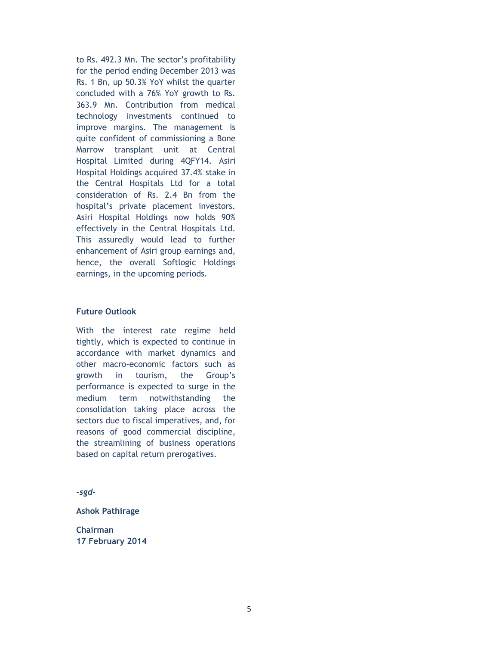to Rs. 492.3 Mn. The sector's profitability for the period ending December 2013 was Rs. 1 Bn, up 50.3% YoY whilst the quarter concluded with a 76% YoY growth to Rs. 363.9 Mn. Contribution from medical technology investments continued to improve margins. The management is quite confident of commissioning a Bone Marrow transplant unit at Central Hospital Limited during 4QFY14. Asiri Hospital Holdings acquired 37.4% stake in the Central Hospitals Ltd for a total consideration of Rs. 2.4 Bn from the hospital's private placement investors. Asiri Hospital Holdings now holds 90% effectively in the Central Hospitals Ltd. This assuredly would lead to further enhancement of Asiri group earnings and, hence, the overall Softlogic Holdings earnings, in the upcoming periods.

### Future Outlook

With the interest rate regime held tightly, which is expected to continue in accordance with market dynamics and other macro-economic factors such as growth in tourism, the Group's performance is expected to surge in the medium term notwithstanding the consolidation taking place across the sectors due to fiscal imperatives, and, for reasons of good commercial discipline, the streamlining of business operations based on capital return prerogatives.

-sgd-

Ashok Pathirage

Chairman 17 February 2014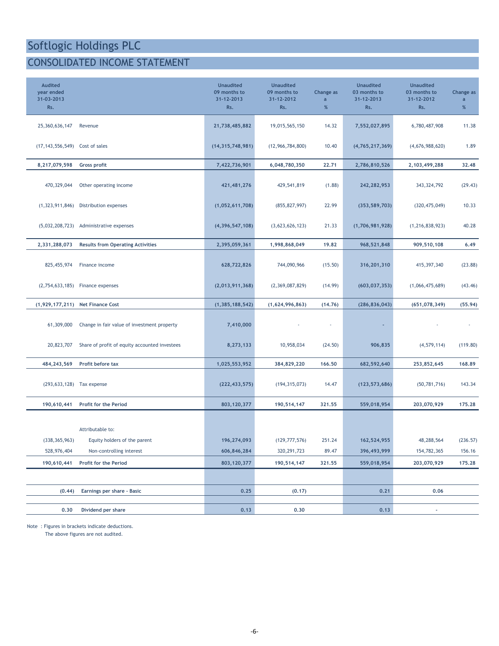### CONSOLIDATED INCOME STATEMENT

| <b>Audited</b><br>year ended<br>31-03-2013<br>Rs. |                                               | <b>Unaudited</b><br>09 months to<br>31-12-2013<br>Rs. | <b>Unaudited</b><br>09 months to<br>31-12-2012<br>Rs. | Change as<br>a<br>$\%$ | <b>Unaudited</b><br>03 months to<br>31-12-2013<br>Rs. | <b>Unaudited</b><br>03 months to<br>31-12-2012<br>Rs. | Change as<br>a<br>$\%$ |
|---------------------------------------------------|-----------------------------------------------|-------------------------------------------------------|-------------------------------------------------------|------------------------|-------------------------------------------------------|-------------------------------------------------------|------------------------|
| 25,360,636,147                                    | Revenue                                       | 21,738,485,882                                        | 19,015,565,150                                        | 14.32                  | 7,552,027,895                                         | 6,780,487,908                                         | 11.38                  |
| (17, 143, 556, 549)                               | Cost of sales                                 | (14, 315, 748, 981)                                   | (12, 966, 784, 800)                                   | 10.40                  | (4,765,217,369)                                       | (4,676,988,620)                                       | 1.89                   |
| 8,217,079,598                                     | <b>Gross profit</b>                           | 7,422,736,901                                         | 6,048,780,350                                         | 22.71                  | 2,786,810,526                                         | 2,103,499,288                                         | 32.48                  |
| 470,329,044                                       | Other operating income                        | 421,481,276                                           | 429,541,819                                           | (1.88)                 | 242,282,953                                           | 343, 324, 792                                         | (29.43)                |
| (1, 323, 911, 846)                                | Distribution expenses                         | (1,052,611,708)                                       | (855, 827, 997)                                       | 22.99                  | (353, 589, 703)                                       | (320, 475, 049)                                       | 10.33                  |
| (5,032,208,723)                                   | Administrative expenses                       | (4, 396, 547, 108)                                    | (3,623,626,123)                                       | 21.33                  | (1,706,981,928)                                       | (1, 216, 838, 923)                                    | 40.28                  |
| 2,331,288,073                                     | <b>Results from Operating Activities</b>      | 2,395,059,361                                         | 1,998,868,049                                         | 19.82                  | 968,521,848                                           | 909,510,108                                           | 6.49                   |
| 825,455,974                                       | Finance income                                | 628,722,826                                           | 744,090,966                                           | (15.50)                | 316,201,310                                           | 415,397,340                                           | (23.88)                |
| (2,754,633,185)                                   | Finance expenses                              | (2,013,911,368)                                       | (2,369,087,829)                                       | (14.99)                | (603, 037, 353)                                       | (1,066,475,689)                                       | (43.46)                |
| (1,929,177,211)                                   | <b>Net Finance Cost</b>                       | (1, 385, 188, 542)                                    | (1,624,996,863)                                       | (14.76)                | (286, 836, 043)                                       | (651, 078, 349)                                       | (55.94)                |
| 61,309,000                                        | Change in fair value of investment property   | 7,410,000                                             |                                                       | ×                      |                                                       |                                                       |                        |
| 20,823,707                                        | Share of profit of equity accounted investees | 8,273,133                                             | 10,958,034                                            | (24.50)                | 906,835                                               | (4, 579, 114)                                         | (119.80)               |
| 484, 243, 569                                     | Profit before tax                             | 1,025,553,952                                         | 384,829,220                                           | 166.50                 | 682,592,640                                           | 253,852,645                                           | 168.89                 |
| (293, 633, 128)                                   | Tax expense                                   | (222, 433, 575)                                       | (194, 315, 073)                                       | 14.47                  | (123, 573, 686)                                       | (50, 781, 716)                                        | 143.34                 |
| 190,610,441                                       | Profit for the Period                         | 803, 120, 377                                         | 190,514,147                                           | 321.55                 | 559,018,954                                           | 203,070,929                                           | 175.28                 |
|                                                   | Attributable to:                              |                                                       |                                                       |                        |                                                       |                                                       |                        |
| (338, 365, 963)                                   | Equity holders of the parent                  | 196,274,093                                           | (129, 777, 576)                                       | 251.24                 | 162,524,955                                           | 48,288,564                                            | (236.57)               |
| 528,976,404                                       | Non-controlling interest                      | 606,846,284                                           | 320, 291, 723                                         | 89.47                  | 396,493,999                                           | 154,782,365                                           | 156.16                 |
| 190,610,441                                       | Profit for the Period                         | 803, 120, 377                                         | 190,514,147                                           | 321.55                 | 559,018,954                                           | 203,070,929                                           | 175.28                 |
|                                                   |                                               |                                                       |                                                       |                        |                                                       |                                                       |                        |
| (0.44)                                            | Earnings per share - Basic                    | 0.25                                                  | (0.17)                                                |                        | 0.21                                                  | 0.06                                                  |                        |
| 0.30                                              | Dividend per share                            | 0.13                                                  | 0.30                                                  |                        | 0.13                                                  | $\blacksquare$                                        |                        |
|                                                   |                                               |                                                       |                                                       |                        |                                                       |                                                       |                        |

Note : Figures in brackets indicate deductions.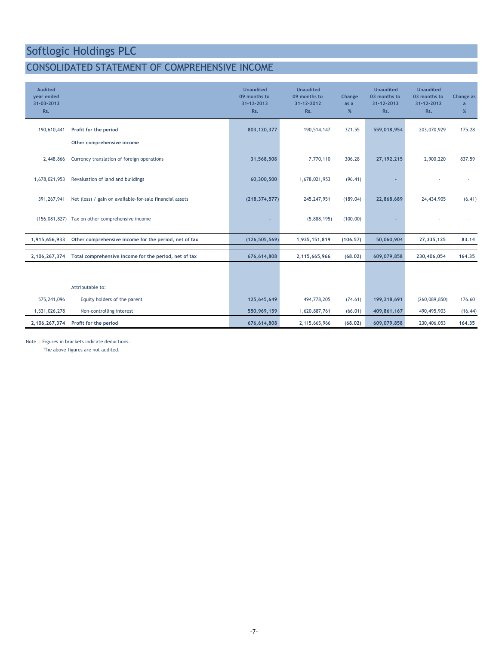### CONSOLIDATED STATEMENT OF COMPREHENSIVE INCOME

| <b>Audited</b><br>year ended<br>31-03-2013<br>Rs. |                                                          | <b>Unaudited</b><br>09 months to<br>31-12-2013<br>Rs. | <b>Unaudited</b><br>09 months to<br>31-12-2012<br>Rs. | Change<br>as a<br>$\%$ | <b>Unaudited</b><br>03 months to<br>31-12-2013<br>Rs. | <b>Unaudited</b><br>03 months to<br>31-12-2012<br>Rs. | Change as<br>a<br>% |
|---------------------------------------------------|----------------------------------------------------------|-------------------------------------------------------|-------------------------------------------------------|------------------------|-------------------------------------------------------|-------------------------------------------------------|---------------------|
| 190,610,441                                       | Profit for the period                                    | 803,120,377                                           | 190,514,147                                           | 321.55                 | 559,018,954                                           | 203,070,929                                           | 175.28              |
|                                                   | Other comprehensive income                               |                                                       |                                                       |                        |                                                       |                                                       |                     |
| 2,448,866                                         | Currency translation of foreign operations               | 31,568,508                                            | 7,770,110                                             | 306.28                 | 27, 192, 215                                          | 2,900,220                                             | 837.59              |
| 1,678,021,953                                     | Revaluation of land and buildings                        | 60,300,500                                            | 1,678,021,953                                         | (96.41)                |                                                       |                                                       |                     |
| 391,267,941                                       | Net (loss) / gain on available-for-sale financial assets | (218, 374, 577)                                       | 245,247,951                                           | (189.04)               | 22,868,689                                            | 24,434,905                                            | (6.41)              |
|                                                   | (156,081,827) Tax on other comprehensive income          |                                                       | (5,888,195)                                           | (100.00)               |                                                       |                                                       |                     |
| 1,915,656,933                                     | Other comprehensive income for the period, net of tax    | (126, 505, 569)                                       | 1,925,151,819                                         | (106.57)               | 50,060,904                                            | 27,335,125                                            | 83.14               |
| 2,106,267,374                                     | Total comprehensive income for the period, net of tax    | 676,614,808                                           | 2,115,665,966                                         | (68.02)                | 609.079.858                                           | 230,406,054                                           | 164.35              |
|                                                   |                                                          |                                                       |                                                       |                        |                                                       |                                                       |                     |
|                                                   | Attributable to:                                         |                                                       |                                                       |                        |                                                       |                                                       |                     |
| 575,241,096                                       | Equity holders of the parent                             | 125,645,649                                           | 494,778,205                                           | (74.61)                | 199,218,691                                           | (260,089,850)                                         | 176.60              |
| 1,531,026,278                                     | Non-controlling interest                                 | 550,969,159                                           | 1,620,887,761                                         | (66.01)                | 409,861,167                                           | 490,495,903                                           | (16.44)             |
| 2,106,267,374                                     | Profit for the period                                    | 676,614,808                                           | 2,115,665,966                                         | (68.02)                | 609,079,858                                           | 230,406,053                                           | 164.35              |

Note : Figures in brackets indicate deductions.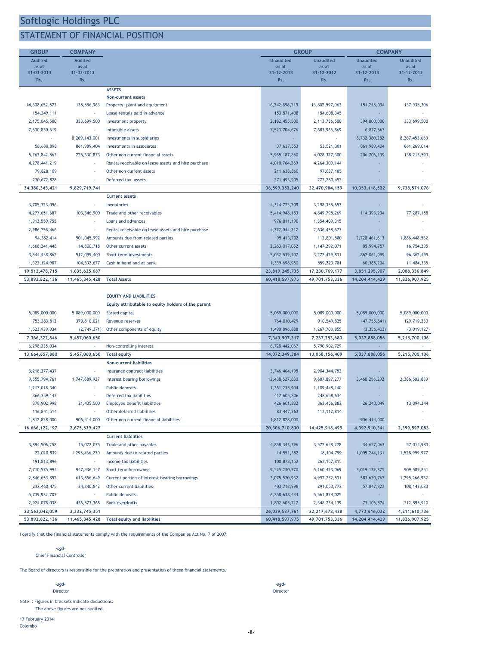### STATEMENT OF FINANCIAL POSITION

|                                 | <b>COMPANY</b>                 |                                                                                      | <b>GROUP</b>                    |                                 |                             | <b>COMPANY</b>               |
|---------------------------------|--------------------------------|--------------------------------------------------------------------------------------|---------------------------------|---------------------------------|-----------------------------|------------------------------|
| <b>Audited</b>                  | <b>Audited</b>                 |                                                                                      | <b>Unaudited</b>                | <b>Unaudited</b>                | <b>Unaudited</b>            | <b>Unaudited</b>             |
| as at                           | as at                          |                                                                                      | as at                           | as at                           | as at                       | as at                        |
| 31-03-2013<br>Rs.               | 31-03-2013<br>Rs.              |                                                                                      | 31-12-2013<br>Rs.               | 31-12-2012<br>Rs.               | 31-12-2013<br>Rs.           | 31-12-2012<br>Rs.            |
|                                 |                                |                                                                                      |                                 |                                 |                             |                              |
|                                 |                                | <b>ASSETS</b>                                                                        |                                 |                                 |                             |                              |
|                                 |                                | Non-current assets                                                                   |                                 |                                 |                             |                              |
| 14,608,652,573                  | 138,556,963                    | Property, plant and equipment                                                        | 16,242,898,219                  | 13,802,597,063                  | 151,215,034                 | 137,935,306                  |
| 154, 349, 111                   |                                | Lease rentals paid in advance                                                        | 153,571,408                     | 154,608,345                     |                             |                              |
| 2,175,045,500                   | 333,699,500                    | Investment property                                                                  | 2, 182, 455, 500                | 2,113,736,500                   | 394,000,000                 | 333,699,500                  |
| 7,630,830,619                   |                                | Intangible assets                                                                    | 7,523,704,676                   | 7,683,966,869                   | 6,827,663                   |                              |
| ×                               | 8,269,143,001                  | Investments in subsidiaries                                                          |                                 |                                 | 8,732,380,282               | 8,267,453,663                |
| 58,680,898                      | 861,989,404                    | Investments in associates                                                            | 37,637,553                      | 53,521,301                      | 861,989,404                 | 861,269,014                  |
| 5, 163, 842, 563                | 226,330,873                    | Other non current financial assets                                                   | 5,965,187,850                   | 4,028,327,300                   | 206,706,139                 | 138,213,593                  |
| 4,278,441,219                   |                                | Rental receivable on lease assets and hire purchase                                  | 4,010,764,269                   | 4, 264, 309, 144                |                             |                              |
| 79,828,109                      |                                | Other non current assets                                                             | 211,638,860                     | 97,637,185                      |                             |                              |
| 230,672,828                     |                                | Deferred tax assets                                                                  | 271,493,905                     | 272,280,452                     |                             |                              |
| 34, 380, 343, 421               | 9,829,719,741                  |                                                                                      | 36,599,352,240                  | 32,470,984,159                  | 10,353,118,522              | 9,738,571,076                |
|                                 |                                | <b>Current assets</b>                                                                |                                 |                                 |                             |                              |
| 3,705,323,096                   | ٠                              | Inventories                                                                          | 4,324,773,209                   | 3,298,355,657                   |                             |                              |
| 4,277,651,687                   | 103,346,900                    | Trade and other receivables                                                          | 5,414,948,183                   | 4,849,798,269                   | 114,393,234                 | 77,287,158                   |
| 1,912,559,755                   |                                | Loans and advances                                                                   | 976,811,190                     | 1,354,409,315                   |                             |                              |
| 2,986,756,466                   |                                | Rental receivable on lease assets and hire purchase                                  | 4,372,044,312                   | 2,636,458,673                   |                             |                              |
| 94, 382, 414                    | 901,045,992                    | Amounts due from related parties                                                     | 95,413,702                      | 112,801,580                     | 2,728,461,613               | 1,886,448,562                |
| 1,668,241,448                   | 14,800,718                     | Other current assets                                                                 | 2,263,017,052                   | 1, 147, 292, 071                | 85,994,757                  | 16,754,295                   |
| 3,544,438,862                   | 512,099,400                    | Short term investments                                                               | 5,032,539,107                   | 3,272,429,831                   | 862,061,099                 | 96, 362, 499                 |
| 1,323,124,987                   | 104, 332, 677                  | Cash in hand and at bank                                                             | 1,339,698,980                   | 559,223,781                     | 60,385,204                  | 11,484,335                   |
| 19,512,478,715                  | 1,635,625,687                  |                                                                                      | 23,819,245,735                  | 17,230,769,177                  | 3,851,295,907               | 2,088,336,849                |
| 53,892,822,136                  | 11,465,345,428                 | <b>Total Assets</b>                                                                  | 60,418,597,975                  | 49,701,753,336                  | 14, 204, 414, 429           | 11,826,907,925               |
|                                 |                                |                                                                                      |                                 |                                 |                             |                              |
|                                 |                                | <b>EQUITY AND LIABILITIES</b><br>Equity attributable to equity holders of the parent |                                 |                                 |                             |                              |
| 5,089,000,000                   | 5,089,000,000                  | Stated capital                                                                       | 5,089,000,000                   | 5,089,000,000                   | 5,089,000,000               | 5,089,000,000                |
| 753,383,812                     | 370,810,021                    | Revenue reserves                                                                     | 764,010,429                     | 910,549,825                     | (47, 755, 541)              | 129,719,233                  |
| 1,523,939,034                   | (2,749,371)                    | Other components of equity                                                           | 1,490,896,888                   | 1,267,703,855                   | (3, 356, 403)               | (3,019,127)                  |
| 7,366,322,846                   | 5,457,060,650                  |                                                                                      | 7,343,907,317                   | 7,267,253,680                   | 5,037,888,056               | 5,215,700,106                |
| 6,298,335,034                   |                                | Non-controlling interest                                                             | 6,728,442,067                   | 5,790,902,729                   |                             |                              |
| 13,664,657,880                  | 5,457,060,650                  | <b>Total equity</b>                                                                  | 14,072,349,384                  | 13,058,156,409                  | 5,037,888,056               | 5,215,700,106                |
|                                 |                                | <b>Non-current liabilities</b>                                                       |                                 |                                 |                             |                              |
| 3,218,377,437                   | ٠                              | Insurance contract liabilities                                                       | 3,746,464,195                   | 2,904,344,752                   |                             |                              |
| 9,555,794,761                   | 1,747,689,927                  | Interest bearing borrowings                                                          | 12,438,527,830                  | 9,687,897,277                   | 3,460,256,292               | 2,386,502,839                |
| 1,217,018,340                   |                                | Public deposits                                                                      | 1,381,235,904                   | 1,109,448,140                   |                             |                              |
| 366, 359, 147                   |                                | Deferred tax liabilities                                                             | 417,605,806                     | 248,658,634                     |                             |                              |
| 378,902,998                     | 21,435,500                     | Employee benefit liabilities                                                         | 426,601,832                     | 363,456,882                     | 26,240,049                  | 13,094,244                   |
| 116,841,514                     |                                | Other deferred liabilities                                                           | 83,447,263                      | 112, 112, 814                   |                             |                              |
| 1,812,828,000                   | 906,414,000                    | Other non current financial liabilities                                              | 1,812,828,000                   |                                 | 906,414,000                 |                              |
| 16,666,122,197                  | 2,675,539,427                  |                                                                                      | 20,306,710,830                  | 14,425,918,499                  | 4,392,910,341               | 2,399,597,083                |
|                                 |                                | <b>Current liabilities</b>                                                           |                                 |                                 |                             |                              |
| 3,894,506,258                   | 15,072,075                     | Trade and other payables                                                             | 4,858,343,396                   | 3,577,648,278                   | 34,657,063                  | 57,014,983                   |
| 22,020,839                      | 1,295,466,270                  | Amounts due to related parties                                                       | 14,551,352                      | 18, 104, 799                    | 1,005,244,131               | 1,528,999,977                |
| 191,813,896                     |                                | Income tax liabilities                                                               | 100,878,152                     | 262, 157, 815                   |                             |                              |
| 7,710,575,994                   | 947, 436, 147                  | Short term borrowings                                                                | 9,525,230,770                   | 5, 160, 423, 069                | 3,019,139,375               | 909,589,851                  |
| 2,846,653,852                   | 613,856,649                    | Current portion of interest bearing borrowings                                       | 3,075,570,932                   | 4,997,732,531                   | 583,620,767                 | 1,295,266,932                |
|                                 |                                |                                                                                      |                                 |                                 |                             |                              |
| 232,460,475<br>5,739,932,707    | 24,340,842                     | Other current liabilities                                                            | 403,718,998                     | 291,053,772                     | 57,847,822                  | 108, 143, 083                |
|                                 |                                | Public deposits                                                                      | 6,258,638,444                   | 5,561,824,025                   |                             |                              |
| 2,924,078,038<br>23,562,042,059 | 436, 573, 368<br>3,332,745,351 | <b>Bank overdrafts</b>                                                               | 1,802,605,717<br>26,039,537,761 | 2,348,734,139<br>22,217,678,428 | 73,106,874<br>4,773,616,032 | 312,595,910<br>4,211,610,736 |

I certify that the financial statements comply with the requirements of the Companies Act No. 7 of 2007.

-sgd-

Chief Financial Controller

The Board of directors is responsible for the preparation and presentation of these financial statements.

-sgd- -sgd-Director Director

Note : Figures in brackets indicate deductions. The above figures are not audited.

17 February 2014 Colombo

-8-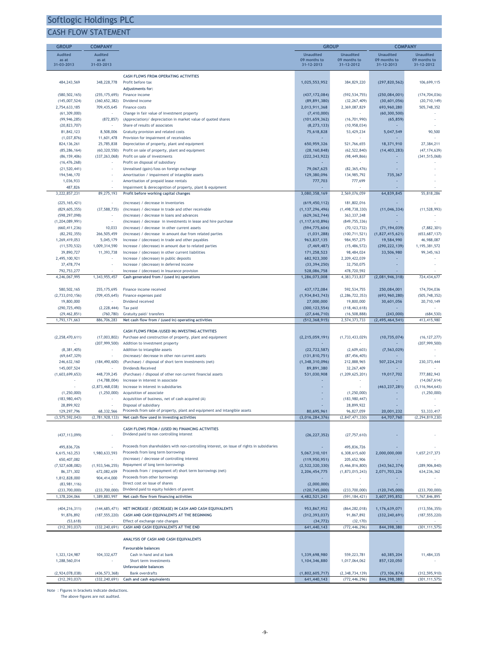### CASH FLOW STATEMENT

| <b>GROUP</b>                     | <b>COMPANY</b>                    |                                                                                                               |                                   | <b>GROUP</b>                     |                                   | <b>COMPANY</b>                     |
|----------------------------------|-----------------------------------|---------------------------------------------------------------------------------------------------------------|-----------------------------------|----------------------------------|-----------------------------------|------------------------------------|
| Audited                          | <b>Audited</b>                    |                                                                                                               | <b>Unaudited</b>                  | <b>Unaudited</b>                 | <b>Unaudited</b>                  | <b>Unaudited</b>                   |
| as at                            | as at                             |                                                                                                               | 09 months to                      | 09 months to                     | 09 months to                      | 09 months to                       |
| 31-03-2013                       | 31-03-2013                        |                                                                                                               | 31-12-2013                        | 31-12-2012                       | 31-12-2013                        | 31-12-2012                         |
|                                  |                                   | <b>CASH FLOWS FROM OPERATING ACTIVITIES</b>                                                                   |                                   |                                  |                                   |                                    |
| 484, 243, 569                    | 348,228,778                       | Profit before tax                                                                                             | 1,025,553,952                     | 384,829,220                      | (297, 820, 562)                   | 106,699,115                        |
|                                  |                                   | Adjustments for:                                                                                              |                                   |                                  |                                   |                                    |
| (580, 502, 165)                  | (255, 175, 695)                   | Finance income                                                                                                | (437, 172, 084)                   | (592, 534, 755)                  | (250, 084, 001)                   | (174, 704, 036)                    |
| (145,007,524)<br>2,754,633,185   | (360, 652, 382)<br>709,435,645    | Dividend income<br>Finance costs                                                                              | (89, 891, 380)<br>2,013,911,368   | (32, 267, 409)<br>2,369,087,829  | (30,601,056)<br>693,960,280       | (20, 710, 149)<br>505,748,352      |
| (61, 309, 000)                   |                                   | Change in fair value of investment property                                                                   | (7, 410, 000)                     |                                  | (60, 300, 500)                    |                                    |
| (99, 946, 285)                   | (872, 857)                        | (Appreciation)/ depreciation in market value of quoted shares                                                 | (101, 659, 362)                   | (16, 701, 990)                   | (65, 859)                         |                                    |
| (20, 823, 707)                   |                                   | Share of results of associates                                                                                | (8, 273, 133)                     | (10, 958, 034)                   |                                   |                                    |
| 81,842,123                       | 8,508,006                         | Gratuity provision and related costs                                                                          | 75,618,828                        | 53,429,234                       | 5,047,549                         | 90,500                             |
| (1,037,876)                      | 11,601,478                        | Provision for impairment of receivables                                                                       |                                   | $\sim$                           |                                   |                                    |
| 824, 136, 261                    | 25,785,838                        | Depreciation of property, plant and equipment                                                                 | 650,959,326                       | 521,766,655                      | 18,371,910                        | 27,384,211                         |
| (85, 286, 164)<br>(86, 159, 406) | (60, 320, 550)<br>(337, 263, 068) | Profit on sale of property, plant and equipment<br>Profit on sale of investments                              | (28, 160, 848)<br>(222, 343, 922) | (62, 522, 840)<br>(98, 449, 866) | (14, 403, 283)                    | (47, 174, 639)<br>(341, 515, 068)  |
| (16, 476, 268)                   |                                   | Profit on disposal of subsidiary                                                                              |                                   | $\sim$                           |                                   |                                    |
| (21, 520, 441)                   |                                   | Unrealised (gain)/loss on foreign exchange                                                                    | 79,067,625                        | (82, 365, 476)                   |                                   |                                    |
| 194,546,170                      |                                   | Amortisation / impairment of intangible assets                                                                | 129,380,096                       | 134,985,792                      | 735,367                           |                                    |
| 1,036,933                        |                                   | Amortisation of prepaid lease rentals                                                                         | 777,703                           | 777,699                          | $\sim$                            |                                    |
| 487,826                          |                                   | Impairment & derecognition of property, plant & equipment                                                     |                                   |                                  |                                   |                                    |
| 3,222,857,231                    | 89,275,193                        | Profit before working capital changes                                                                         | 3,080,358,169                     | 2,569,076,059                    | 64,839,845                        | 55,818,286                         |
| (225, 165, 421)                  |                                   | (Increase) / decrease in inventories                                                                          | (619, 450, 112)                   | 181,802,016                      |                                   |                                    |
| (829, 605, 355)                  | (37, 588, 735)                    | (Increase) / decrease in trade and other receivable                                                           | (1, 137, 296, 496)                | (1, 498, 738, 330)               | (11, 046, 334)                    | (11, 528, 993)                     |
| (598, 297, 098)                  |                                   | (Increase) / decrease in loans and advances                                                                   | (629, 362, 744)                   | 363, 337, 248                    |                                   |                                    |
| (1, 204, 089, 991)               |                                   | (Increase) / decrease in investments in lease and hire purchase                                               | (1, 117, 610, 896)                | (849, 755, 336)                  |                                   |                                    |
| (660, 411, 236)                  | 10,033                            | (Increase) / decrease in other current assets                                                                 | (594, 775, 604)<br>(1,031,288)    | (70, 123, 732)                   | (71, 194, 039)<br>(1,827,415,621) | (7,882,301)                        |
| (82, 292, 355)<br>1,269,419,053  | 266,505,459<br>5,045,179          | (Increase) / decrease in amount due from related parties<br>Increase / (decrease) in trade and other payables | 963,837,135                       | (100, 711, 521)<br>984, 957, 275 | 19,584,990                        | (653, 687, 137)<br>46,988,087      |
| (11, 570, 532)                   | 1,009,314,590                     | Increase / (decrease) in amount due to related parties                                                        | (7, 469, 487)                     | (15, 486, 572)                   | (290, 222, 139)                   | 1,195,381,572                      |
| 39,890,727                       | 11,393,738                        | Increase / (decrease) in other current liabilities                                                            | 171,258,523                       | 98,484,024                       | 33,506,980                        | 99, 345, 163                       |
| 2,495,100,921                    |                                   | Increase / (decrease) in public deposits                                                                      | 682,923,300                       | 2,209,422,039                    |                                   |                                    |
| 37,478,774                       | ×                                 | Increase / (decrease) in deferred income                                                                      | (33, 394, 250)                    | 32,750,075                       | $\overline{\phantom{a}}$          |                                    |
| 792,753,277                      |                                   | Increase / (decrease) in Insurance provision                                                                  | 528,086,758                       | 478,720,592                      |                                   |                                    |
| 4,246,067,995                    | 1,343,955,457                     | Cash generated from / (used in) operations                                                                    | 1,286,073,008                     | 4, 383, 733, 837                 | (2,081,946,318)                   | 724,434,677                        |
| 580, 502, 165                    | 255, 175, 695                     | Finance income received                                                                                       | 437, 172, 084                     | 592, 534, 755                    | 250,084,001                       | 174,704,036                        |
| (2,733,010,156)                  | (709, 435, 645)                   | Finance expenses paid                                                                                         | (1,934,843,743)                   | (2, 286, 722, 353)               | (693, 960, 280)                   | (505, 748, 352)                    |
| 19,800,000                       |                                   | Dividend received                                                                                             | 27,000,000                        | 19,800,000                       | 30,601,056                        | 20,710,149                         |
| (290, 725, 490)                  | (2, 228, 444)                     | Tax paid                                                                                                      | (300, 123, 554)                   | (118, 463, 618)                  |                                   |                                    |
| (29, 462, 851)                   | (760, 780)                        | Gratuity paid/ transfers                                                                                      | (27, 646, 710)                    | (16, 508, 888)                   | (243,000)                         | (684, 530)                         |
| 1,793,171,663                    | 886,706,283                       | Net cash flow from / (used in) operating activities                                                           | (512, 368, 915)                   | 2,574,373,733                    | (2, 495, 464, 541)                | 413,415,980                        |
|                                  |                                   | CASH FLOWS FROM / (USED IN) INVESTING ACTIVITIES                                                              |                                   |                                  |                                   |                                    |
| (2, 258, 470, 611)               | (17,003,802)                      | Purchase and construction of property, plant and equipment                                                    | (2, 215, 059, 191)                | (1,733,433,029)                  | (10, 735, 074)                    | (16, 127, 277)                     |
|                                  | (207, 999, 500)                   | Addition to investment property                                                                               |                                   |                                  |                                   | (207, 999, 500)                    |
| (8, 381, 405)                    |                                   | Addition to intangible assets                                                                                 | (22, 722, 587)                    | (2,609,603)                      | (7, 563, 029)                     |                                    |
| (69, 647, 329)                   |                                   | (Increase)/ decrease in other non current assets                                                              | (131, 810, 751)                   | (87, 456, 405)                   |                                   |                                    |
| 246,632,160                      | (184, 490, 600)                   | (Purchase) / disposal of short term investments (net)                                                         | (1,348,310,096)                   | 212,888,965                      | 507,224,210                       | 230, 373, 444                      |
| 145,007,524                      |                                   | <b>Dividends Received</b>                                                                                     | 89,891,380                        | 32, 267, 409                     |                                   |                                    |
| (1,603,699,653)                  | 448,739,245<br>(14, 788, 004)     | (Purchase) / disposal of other non current financial assets                                                   | 531,030,908<br>$\sim$             | (1, 209, 625, 201)<br>÷          | 19,017,702                        | 777,882,943                        |
| $\sim$                           | (2,873,468,038)                   | Increase in interest in associate<br>Increase in interest in subsidiaries                                     | $\sim$                            | $\sim$                           | (463, 237, 281)                   | (14,067,614)<br>(3, 116, 964, 643) |
| (1, 250, 000)                    | (1, 250, 000)                     | Acquisition of associate                                                                                      |                                   | (1, 250, 000)                    |                                   | (1, 250, 000)                      |
| (183, 980, 447)                  | ×                                 | Acquisition of business, net of cash acquired (A)                                                             |                                   | (183, 980, 447)                  |                                   |                                    |
| 28,899,922                       |                                   | Disposal of subsidiary                                                                                        |                                   | 28,899,922                       |                                   |                                    |
| 129,297,796                      | 68,332,566                        | Proceeds from sale of property, plant and equipment and intangible assets                                     | 80,695,961                        | 96,827,059                       | 20,001,232                        | 53, 333, 417                       |
| (3, 575, 592, 043)               | (2,781,928,133)                   | Net cash flow used in investing activities                                                                    | (3,016,284,376)                   | (2, 847, 471, 330)               | 64,707,760                        | (2, 294, 819, 230)                 |
|                                  |                                   | CASH FLOWS FROM / (USED IN) FINANCING ACTIVITIES                                                              |                                   |                                  |                                   |                                    |
| (437, 113, 099)                  |                                   | Dividend paid to non controlling interest                                                                     | (26, 227, 352)                    | (27, 757, 610)                   |                                   |                                    |
|                                  |                                   |                                                                                                               |                                   |                                  |                                   |                                    |
| 495,836,726                      |                                   | Proceeds from shareholders with non-controlling interest, on issue of rights in subsidiaries                  |                                   | 495,836,726                      |                                   |                                    |
| 6,615,163,253                    | 1,980,633,593                     | Proceeds from long term borrowings                                                                            | 5,067,310,101                     | 6,308,615,600                    | 2,000,000,000                     | 1,657,217,373                      |
| 650,407,082                      |                                   | (Increase) / decrease of controlling interest                                                                 | (119, 950, 951)                   | 205,652,906                      |                                   |                                    |
| (7, 527, 608, 082)               | (1,933,546,255)                   | Repayment of long term borrowings                                                                             | (2,522,320,330)                   | (5,466,816,800)                  | (343, 562, 374)                   | (289, 906, 840)                    |
| 86,371,302                       | 672,082,659<br>904,414,000        | Proceeds from / (repayment of) short term borrowings (net)<br>Proceeds from other borrowings                  | 2,206,454,775                     | (1,873,015,243)                  | 2,071,703,226                     | 634,236,362                        |
| 1,812,828,000<br>(83,981,116)    |                                   | Direct cost on issue of shares                                                                                | (2,000,000)                       |                                  |                                   |                                    |
| (233,700,000)                    | (233,700,000)                     | Dividend paid to equity holders of parent                                                                     | (120, 745, 000)                   | (233,700,000)                    | (120, 745, 000)                   | (233,700,000)                      |
| 1,378,204,066                    | 1,389,883,997                     | Net cash flow from financing activities                                                                       | 4,482,521,243                     | (591, 184, 421)                  | 3,607,395,852                     | 1,767,846,895                      |
|                                  |                                   |                                                                                                               |                                   |                                  |                                   |                                    |
| (404, 216, 311)                  | (144, 685, 471)                   | NET INCREASE / (DECREASE) IN CASH AND CASH EQUIVALENTS                                                        | 953,867,952                       | (864, 282, 018)                  | 1,176,639,071                     | (113, 556, 355)                    |
| 91,876,892                       | (187, 555, 220)                   | CASH AND CASH EQUIVALENTS AT THE BEGINNING                                                                    | (312, 393, 037)                   | 91,867,892                       | (332, 240, 691)                   | (187, 555, 220)                    |
| (53, 618)                        |                                   | Effect of exchange rate changes                                                                               | (34, 772)                         | (32, 170)                        |                                   |                                    |
| (312, 393, 037)                  | (332, 240, 691)                   | CASH AND CASH EQUIVALENTS AT THE END                                                                          | 641,440,143                       | (772, 446, 296)                  | 844,398,380                       | (301, 111, 575)                    |
|                                  |                                   | ANALYSIS OF CASH AND CASH EQUIVALENTS                                                                         |                                   |                                  |                                   |                                    |
|                                  |                                   |                                                                                                               |                                   |                                  |                                   |                                    |
| 1,323,124,987                    | 104, 332, 677                     | <b>Favourable balances</b><br>Cash in hand and at bank                                                        | 1,339,698,980                     | 559,223,781                      | 60,385,204                        | 11,484,335                         |
| 1,288,560,014                    |                                   | Short term investments                                                                                        | 1,104,346,880                     | 1,017,064,062                    | 857,120,050                       |                                    |
|                                  |                                   | <b>Unfavourable balances</b>                                                                                  |                                   |                                  |                                   |                                    |
| (2,924,078,038)                  | (436, 573, 368)                   | <b>Bank overdrafts</b>                                                                                        | (1,802,605,717)                   | (2,348,734,139)                  | (73, 106, 874)                    | (312, 595, 910)                    |
| (312, 393, 037)                  | (332, 240, 691)                   | Cash and cash equivalents                                                                                     | 641,440,143                       | (772, 446, 296)                  | 844,398,380                       | (301, 111, 575)                    |

Note : Figures in brackets indicate deductions.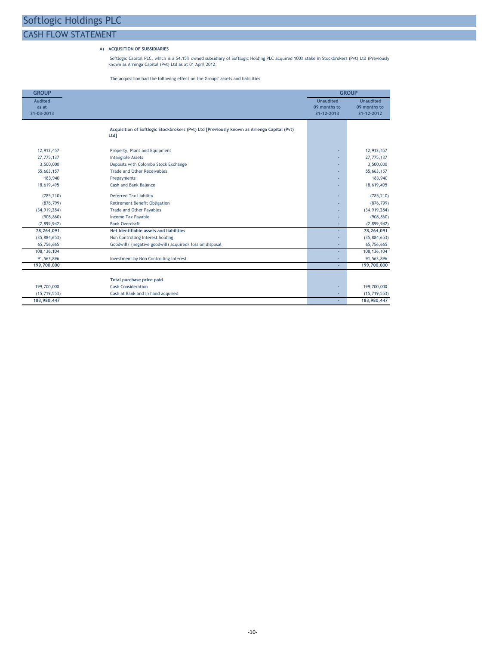### CASH FLOW STATEMENT

### A) ACQUSITION OF SUBSIDIARIES

Softlogic Capital PLC, which is a 54.15% owned subsidiary of Softlogic Holding PLC acquired 100% stake in Stockbrokers (Pvt) Ltd (Previously known as Arrenga Capital (Pvt) Ltd as at 01 April 2012.

The acquisition had the following effect on the Groups' assets and liabilities

| <b>GROUP</b>                          |                                                                                                    | <b>GROUP</b>                                   |                                                |  |  |  |  |
|---------------------------------------|----------------------------------------------------------------------------------------------------|------------------------------------------------|------------------------------------------------|--|--|--|--|
| <b>Audited</b><br>as at<br>31-03-2013 |                                                                                                    | <b>Unaudited</b><br>09 months to<br>31-12-2013 | <b>Unaudited</b><br>09 months to<br>31-12-2012 |  |  |  |  |
|                                       | Acquisition of Softlogic Stockbrokers (Pvt) Ltd [Previously known as Arrenga Capital (Pvt)<br>Ltd] |                                                |                                                |  |  |  |  |
| 12,912,457                            | Property, Plant and Equipment                                                                      |                                                | 12,912,457                                     |  |  |  |  |
| 27,775,137                            | <b>Intangible Assets</b>                                                                           |                                                | 27,775,137                                     |  |  |  |  |
| 3,500,000                             | Deposits with Colombo Stock Exchange                                                               |                                                | 3,500,000                                      |  |  |  |  |
| 55,663,157                            | Trade and Other Receivables                                                                        |                                                | 55,663,157                                     |  |  |  |  |
| 183,940                               | Prepayments                                                                                        |                                                | 183,940                                        |  |  |  |  |
| 18,619,495                            | Cash and Bank Balance                                                                              |                                                | 18,619,495                                     |  |  |  |  |
| (785, 210)                            | <b>Deferred Tax Liability</b>                                                                      | ۰                                              | (785, 210)                                     |  |  |  |  |
| (876, 799)                            | Retirement Benefit Obligation                                                                      |                                                | (876, 799)                                     |  |  |  |  |
| (34, 919, 284)                        | <b>Trade and Other Payables</b>                                                                    | ٠                                              | (34, 919, 284)                                 |  |  |  |  |
| (908, 860)                            | <b>Income Tax Payable</b>                                                                          | ٠                                              | (908, 860)                                     |  |  |  |  |
| (2,899,942)                           | <b>Bank Overdraft</b>                                                                              | ٠                                              | (2,899,942)                                    |  |  |  |  |
| 78,264,091                            | Net Identifiable assets and liabilities                                                            |                                                | 78,264,091                                     |  |  |  |  |
| (35,884,653)                          | Non Controlling Interest holding                                                                   |                                                | (35,884,653)                                   |  |  |  |  |
| 65,756,665                            | Goodwill/ (negative goodwill) acquired/ loss on disposal                                           | ٠                                              | 65,756,665                                     |  |  |  |  |
| 108, 136, 104                         |                                                                                                    | ٠                                              | 108, 136, 104                                  |  |  |  |  |
| 91,563,896                            | Investment by Non Controlling Interest                                                             |                                                | 91,563,896                                     |  |  |  |  |
| 199,700,000                           |                                                                                                    | ÷                                              | 199,700,000                                    |  |  |  |  |
|                                       | Total purchase price paid                                                                          |                                                |                                                |  |  |  |  |
| 199,700,000                           | <b>Cash Consideration</b>                                                                          | ٠                                              | 199,700,000                                    |  |  |  |  |
| (15, 719, 553)                        | Cash at Bank and in hand acquired                                                                  |                                                | (15, 719, 553)                                 |  |  |  |  |
| 183,980,447                           |                                                                                                    |                                                | 183,980,447                                    |  |  |  |  |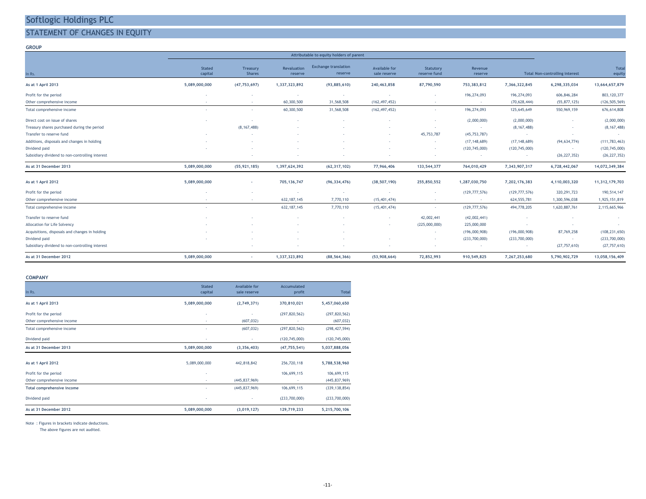### STATEMENT OF CHANGES IN EQUITY

#### GROUP

|                                                 |                          |                           |                               | Attributable to equity holders of parent |                                      |                           |                    |                 |                                       |                 |
|-------------------------------------------------|--------------------------|---------------------------|-------------------------------|------------------------------------------|--------------------------------------|---------------------------|--------------------|-----------------|---------------------------------------|-----------------|
| In Rs.                                          | <b>Stated</b><br>capital | Treasury<br><b>Shares</b> | <b>Revaluation</b><br>reserve | <b>Exchange translation</b><br>reserve   | <b>Available for</b><br>sale reserve | Statutory<br>reserve fund | Revenue<br>reserve |                 | <b>Total Non-controlling interest</b> | Total<br>equity |
| As at 1 April 2013                              | 5,089,000,000            | (47, 753, 697)            | 1,337,323,892                 | (93,885,610)                             | 240,463,858                          | 87,790,590                | 753,383,812        | 7,366,322,845   | 6,298,335,034                         | 13,664,657,879  |
| Profit for the period                           | ٠.                       |                           |                               | $\sim$                                   | $\sim$                               | $\sim$                    | 196,274,093        | 196,274,093     | 606,846,284                           | 803, 120, 377   |
| Other comprehensive income                      | $\overline{\phantom{a}}$ | $\sim$                    | 60,300,500                    | 31,568,508                               | (162, 497, 452)                      | $\sim$                    | $\sim$             | (70, 628, 444)  | (55, 877, 125)                        | (126, 505, 569) |
| Total comprehensive income                      | ٠.                       | ÷                         | 60,300,500                    | 31,568,508                               | (162, 497, 452)                      | ٠.                        | 196,274,093        | 125,645,649     | 550,969,159                           | 676,614,808     |
| Direct cost on issue of shares                  |                          | ٠.                        |                               |                                          |                                      |                           | (2,000,000)        | (2,000,000)     | н.                                    | (2,000,000)     |
| Treasury shares purchased during the period     |                          | (8, 167, 488)             |                               |                                          |                                      |                           | $\sim$             | (8, 167, 488)   |                                       | (8, 167, 488)   |
| Transfer to reserve fund                        |                          |                           |                               |                                          | н.                                   | 45,753,787                | (45, 753, 787)     | $\sim$          | $\sim$                                |                 |
| Additions, disposals and changes in holding     |                          |                           |                               |                                          |                                      | $\sim$                    | (17, 148, 689)     | (17, 148, 689)  | (94, 634, 774)                        | (111, 783, 463) |
| Dividend paid                                   |                          |                           |                               |                                          |                                      | $\sim$                    | (120, 745, 000)    | (120, 745, 000) | $\sim$                                | (120, 745, 000) |
| Subsidiary dividend to non-controlling interest |                          |                           |                               |                                          |                                      | $\sim$                    | $\sim$             |                 | (26, 227, 352)                        | (26, 227, 352)  |
| As at 31 December 2013                          | 5,089,000,000            | (55, 921, 185)            | 1,397,624,392                 | (62, 317, 102)                           | 77,966,406                           | 133,544,377               | 764,010,429        | 7,343,907,317   | 6,728,442,067                         | 14,072,349,384  |
| As at 1 April 2012                              | 5,089,000,000            | $\sim$                    | 705,136,747                   | (96, 334, 476)                           | (38, 507, 190)                       | 255,850,552               | 1,287,030,750      | 7,202,176,383   | 4,110,003,320                         | 11,312,179,703  |
| Profit for the period                           | ٠.                       |                           | $\sim$                        | $\sim$                                   | $\sim$                               | $\sim$                    | (129, 777, 576)    | (129, 777, 576) | 320, 291, 723                         | 190,514,147     |
| Other comprehensive income                      | $\sim$                   | $\sim$                    | 632, 187, 145                 | 7,770,110                                | (15, 401, 474)                       | $\sim$                    | $\sim$             | 624, 555, 781   | 1,300,596,038                         | 1,925,151,819   |
| Total comprehensive income                      | ٠.                       |                           | 632, 187, 145                 | 7,770,110                                | (15, 401, 474)                       |                           | (129, 777, 576)    | 494,778,205     | 1,620,887,761                         | 2,115,665,966   |
| Transfer to reserve fund                        |                          |                           |                               |                                          | . .                                  | 42,002,441                | (42,002,441)       |                 | ч.                                    | $\sim$          |
| Allocation for Life Solvency                    |                          |                           |                               |                                          |                                      | (225,000,000)             | 225,000,000        |                 |                                       |                 |
| Acquisitions, disposals and changes in holding  |                          |                           |                               |                                          |                                      | $\sim$                    | (196,000,908)      | (196,000,908)   | 87,769,258                            | (108, 231, 650) |
| Dividend paid                                   |                          |                           |                               |                                          |                                      | $\sim$                    | (233,700,000)      | (233,700,000)   | $\sim$                                | (233,700,000)   |
| Subsidiary dividend to non-controlling interest |                          |                           |                               |                                          |                                      | $\sim$                    | $\sim$             |                 | (27, 757, 610)                        | (27, 757, 610)  |
| As at 31 December 2012                          | 5,089,000,000            | <b>Section</b>            | 1,337,323,892                 | (88, 564, 366)                           | (53,908,664)                         | 72,852,993                | 910,549,825        | 7,267,253,680   | 5,790,902,729                         | 13,058,156,409  |

#### COMPANY

| In Rs.                     | <b>Stated</b><br>capital | Available for<br>sale reserve | Accumulated<br>profit    | <b>Total</b>    |
|----------------------------|--------------------------|-------------------------------|--------------------------|-----------------|
| As at 1 April 2013         | 5,089,000,000            | (2,749,371)                   | 370,810,021              | 5,457,060,650   |
| Profit for the period      | ٠                        |                               | (297, 820, 562)          | (297, 820, 562) |
| Other comprehensive income | ٠                        | (607, 032)                    |                          | (607, 032)      |
| Total comprehensive income | ×                        | (607, 032)                    | (297, 820, 562)          | (298, 427, 594) |
| Dividend paid              | ×                        | ×,                            | (120, 745, 000)          | (120, 745, 000) |
| As at 31 December 2013     | 5,089,000,000            | (3, 356, 403)                 | (47, 755, 541)           | 5,037,888,056   |
| As at 1 April 2012         | 5,089,000,000            | 442,818,842                   | 256,720,118              | 5,788,538,960   |
| Profit for the period      | ٠                        |                               | 106,699,115              | 106,699,115     |
| Other comprehensive income | ٠                        | (445, 837, 969)               | $\overline{\phantom{a}}$ | (445, 837, 969) |
| Total comprehensive income |                          | (445, 837, 969)               | 106,699,115              | (339, 138, 854) |
| Dividend paid              | ٠                        |                               | (233,700,000)            | (233,700,000)   |
| As at 31 December 2012     | 5,089,000,000            | (3,019,127)                   | 129,719,233              | 5,215,700,106   |

Note : Figures in brackets indicate deductions.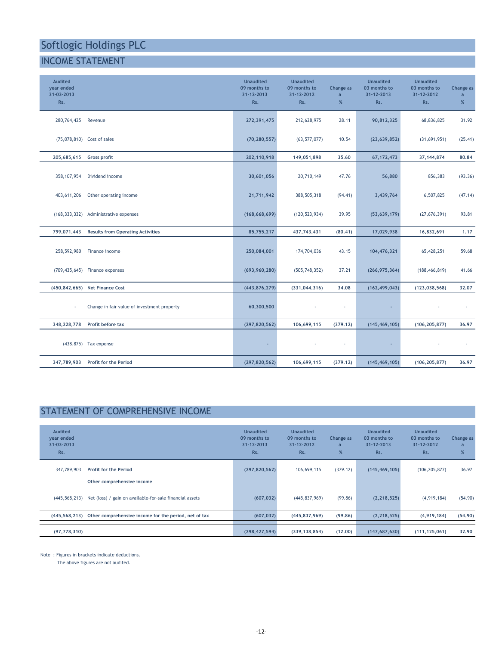### INCOME STATEMENT

| <b>Audited</b><br>year ended<br>31-03-2013<br>Rs. |                                             | <b>Unaudited</b><br>09 months to<br>31-12-2013<br>Rs. | <b>Unaudited</b><br>09 months to<br>31-12-2012<br>Rs. | Change as<br>$\overline{a}$<br>% | <b>Unaudited</b><br>03 months to<br>31-12-2013<br>Rs. | <b>Unaudited</b><br>03 months to<br>31-12-2012<br>Rs. | Change as<br>$\overline{a}$<br>$\%$ |
|---------------------------------------------------|---------------------------------------------|-------------------------------------------------------|-------------------------------------------------------|----------------------------------|-------------------------------------------------------|-------------------------------------------------------|-------------------------------------|
| 280,764,425                                       | Revenue                                     | 272,391,475                                           | 212,628,975                                           | 28.11                            | 90,812,325                                            | 68,836,825                                            | 31.92                               |
|                                                   | (75,078,810) Cost of sales                  | (70, 280, 557)                                        | (63, 577, 077)                                        | 10.54                            | (23, 639, 852)                                        | (31,691,951)                                          | (25.41)                             |
| 205,685,615                                       | Gross profit                                | 202,110,918                                           | 149,051,898                                           | 35.60                            | 67, 172, 473                                          | 37, 144, 874                                          | 80.84                               |
| 358, 107, 954                                     | Dividend income                             | 30,601,056                                            | 20,710,149                                            | 47.76                            | 56,880                                                | 856,383                                               | (93.36)                             |
| 403,611,206                                       | Other operating income                      | 21,711,942                                            | 388,505,318                                           | (94.41)                          | 3,439,764                                             | 6,507,825                                             | (47.14)                             |
|                                                   | (168, 333, 332) Administrative expenses     | (168, 668, 699)                                       | (120, 523, 934)                                       | 39.95                            | (53, 639, 179)                                        | (27, 676, 391)                                        | 93.81                               |
| 799,071,443                                       | <b>Results from Operating Activities</b>    | 85,755,217                                            | 437,743,431                                           | (80.41)                          | 17,029,938                                            | 16,832,691                                            | 1.17                                |
| 258,592,980                                       | Finance income                              | 250,084,001                                           | 174,704,036                                           | 43.15                            | 104,476,321                                           | 65,428,251                                            | 59.68                               |
|                                                   | (709,435,645) Finance expenses              | (693, 960, 280)                                       | (505, 748, 352)                                       | 37.21                            | (266, 975, 364)                                       | (188, 466, 819)                                       | 41.66                               |
|                                                   | (450,842,665) Net Finance Cost              | (443, 876, 279)                                       | (331, 044, 316)                                       | 34.08                            | (162, 499, 043)                                       | (123, 038, 568)                                       | 32.07                               |
|                                                   | Change in fair value of investment property | 60,300,500                                            |                                                       | ×.                               | ÷,                                                    |                                                       |                                     |
| 348,228,778                                       | Profit before tax                           | (297, 820, 562)                                       | 106,699,115                                           | (379.12)                         | (145, 469, 105)                                       | (106, 205, 877)                                       | 36.97                               |
|                                                   | (438,875) Tax expense                       | $\sim$                                                |                                                       | ٠                                |                                                       |                                                       |                                     |
| 347,789,903                                       | <b>Profit for the Period</b>                | (297, 820, 562)                                       | 106,699,115                                           | (379.12)                         | (145, 469, 105)                                       | (106, 205, 877)                                       | 36,97                               |

### STATEMENT OF COMPREHENSIVE INCOME

| <b>Audited</b><br>year ended<br>31-03-2013<br>Rs. |                                                                        | <b>Unaudited</b><br>09 months to<br>$31 - 12 - 2013$<br>Rs. | <b>Unaudited</b><br>09 months to<br>31-12-2012<br>Rs. | Change as<br>a<br>% | Unaudited<br>03 months to<br>$31 - 12 - 2013$<br>Rs. | <b>Unaudited</b><br>03 months to<br>31-12-2012<br>Rs. | Change as<br>a<br>% |
|---------------------------------------------------|------------------------------------------------------------------------|-------------------------------------------------------------|-------------------------------------------------------|---------------------|------------------------------------------------------|-------------------------------------------------------|---------------------|
| 347,789,903                                       | Profit for the Period<br>Other comprehensive income                    | (297, 820, 562)                                             | 106,699,115                                           | (379.12)            | (145, 469, 105)                                      | (106, 205, 877)                                       | 36.97               |
|                                                   | (445,568,213) Net (loss) / gain on available-for-sale financial assets | (607, 032)                                                  | (445, 837, 969)                                       | (99.86)             | (2, 218, 525)                                        | (4,919,184)                                           | (54.90)             |
| (445, 568, 213)                                   | Other comprehensive income for the period, net of tax                  | (607, 032)                                                  | (445, 837, 969)                                       | (99.86)             | (2, 218, 525)                                        | (4,919,184)                                           | (54.90)             |
| (97, 778, 310)                                    |                                                                        | (298, 427, 594)                                             | (339, 138, 854)                                       | (12.00)             | (147, 687, 630)                                      | (111, 125, 061)                                       | 32.90               |

Note : Figures in brackets indicate deductions.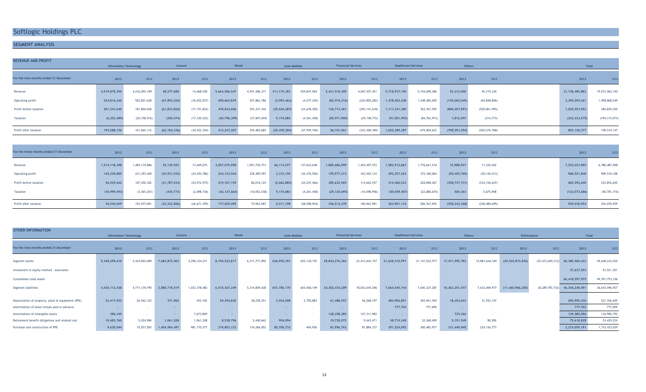### SEGMENT ANALYSIS

| <b>REVENUE AND PROFIT</b>              | <b>Information Technology</b> |                | Leisure        |                | Retail         |                | <b>Auto Mobiles</b> |                | <b>Financial Services</b> |                 | <b>Healthcare Services</b> |                | <b>Others</b>   |                 | <b>Total</b>    |                 |
|----------------------------------------|-------------------------------|----------------|----------------|----------------|----------------|----------------|---------------------|----------------|---------------------------|-----------------|----------------------------|----------------|-----------------|-----------------|-----------------|-----------------|
|                                        |                               |                |                |                |                |                |                     |                |                           |                 |                            |                |                 |                 |                 |                 |
| For the nine months ended 31 December  | 2013                          | 2012           | 2013           | 2012           | 2013           | 2012           | 2013                | 2012           | 2013                      | 2012            | 2013                       | 2012           | 2013            | 2012            | 2013            | 2012            |
| Revenue                                | 4,519,878,350                 | 4,242,095,189  | 48,577,688     | 14,468,558     | 5,664,586,547  | 4,951,586,371  | 311, 175, 383       | 559,847,965    | 5,421,918,309             | 4,047,557,451   | 5,718,937,105              | 5,154,690,286  | 53,412,500      | 45,319,330      | 21,738,485,882  | 19,015,565,150  |
| Operating profit                       | 534,816,240                   | 503,821,628    | (67, 893, 203) | (16, 022, 037) | 690,665,839    | 557,862,786    | (2,993,462)         | (4, 577, 245)  | (82, 974, 216)            | (224, 850, 282) | 1,478,503,208              | 1,248,482,005  | (155,065,045)   | (65, 848, 806)  | 2,395,059,361   | 1,998,868,049   |
| Profit before taxation                 | 201,341,645                   | 181,804,028    | (61, 833, 862) | (17, 191, 832) | 478,043,606    | 293, 331, 344  | (29, 644, 287)      | (23, 678, 302) | 126,713,461               | (293, 141, 618) | 1,111,341,280              | 763,767,595    | (800, 407, 891) | (520, 061, 995) | 1,025,553,952   | 384,829,220     |
| Taxation                               | (6, 253, 489)                 | (20, 738, 916) | (350, 474)     | (17, 330, 522) | (65, 796, 399) | (37, 847, 659) | 9,174,083           | (4, 261, 458)  | (69, 971, 900)            | (29, 158, 772)  | (91, 051, 993)             | (84, 762, 973) | 1,816,597       | (214, 773)      | (222, 433, 575) | (194, 315, 073) |
| Profit after taxation                  | 195,088,156                   | 161,065,112    | (62, 184, 336) | (34, 522, 354) | 412, 247, 207  | 255,483,685    | (20, 470, 204)      | (27, 939, 760) | 56,741,561                | (322, 300, 390) | 1,020,289,287              | 679,004,622    | (798, 591, 294) | (520, 276, 768) | 803, 120, 377   | 190,514,147     |
|                                        |                               |                |                |                |                |                |                     |                |                           |                 |                            |                |                 |                 |                 |                 |
| For the three months ended 31 December | 2013                          | 2012           | 2013           | 2012           | 2013           | 2012           | 2013                | 2012           | 2013                      | 2012            | 2013                       | 2012           | 2013            | 2012            | 2013            | 2012            |

|                        | - 2019         | $\sim$        | $\sim$         |                | $-0.01$        | -47.64        | - 2019      |                | - 2019         | <b>AVIF-</b>   | $\sim$         | -47.64        | -2012           | $\sim$          | - 2019          |                |
|------------------------|----------------|---------------|----------------|----------------|----------------|---------------|-------------|----------------|----------------|----------------|----------------|---------------|-----------------|-----------------|-----------------|----------------|
| Revenue                | 1,514,118,498  | 1,485,175,886 | 35,130,925     | 13,449,075     | 2,057,075,998  | 1,901,756,751 | 66,114,571  | 137,622,048    | 1,880,686,099  | 1,454,497,572  | 1,982,912,867  | 1,776,661,534 | 15,988,937      | 11,325,042      | 7,552,027,895   | 6,780,487,908  |
| Operating profit       | 145,238,885    | 221,393,469   | (35, 931, 552) | (24, 292, 786) | 224, 123, 544  | 228,389,597   | 2,312,155   | (34, 376, 956) | 195,977,213    | 163, 202, 133  | 492,257,363    | 375,340,064   | (55, 455, 760)  | (20, 145, 413)  | 968,521,848     | 909,510,108    |
| Profit before taxation | 56,529,642     | 107,302,302   | (31, 787, 033) | (24, 572, 973) | 219, 167, 159  | 86,016,125    | (2,662,885) | (24, 247, 466) | 385,632,965    | 114,662,937    | 414,460,523    | 228,848,367   | (358, 747, 731) | (234, 156, 647) | 682,592,640     | 253,852,645    |
| Taxation               | (10, 999, 593) | (3, 365, 301) | (435, 773)     | (2,098,736)    | (42, 137, 664) | (10,052,538)  | 9,174,083   | (4, 261, 458)  | (29, 120, 695) | (14, 598, 956) | (50, 559, 407) | (22,080,675)  | 505,363         | 5,675,948       | (123, 573, 686) | (50, 781, 716) |
| Profit after taxation  | 45,530,049     | 103,937,001   | (32, 222, 806) | (26, 671, 709) | 177,029,495    | 75,963,587    | 6,511,198   | (28, 508, 924) | 356,512,270    | 100,063,981    | 363,901,116    | 206,767,692   | (358, 242, 368) | (228, 480, 699) | 559,018,954     | 203,070,929    |

| <b>OTHER INFORMATION</b>                          |               |                               |               |               |               |               |             |                     |                |                           |                |                            |                |                |                     |                     |                                         |                |
|---------------------------------------------------|---------------|-------------------------------|---------------|---------------|---------------|---------------|-------------|---------------------|----------------|---------------------------|----------------|----------------------------|----------------|----------------|---------------------|---------------------|-----------------------------------------|----------------|
|                                                   |               | <b>Information Technology</b> |               | Leisure       |               | Retail        |             | <b>Auto Mobiles</b> |                | <b>Financial Services</b> |                | <b>Healthcare Services</b> |                | <b>Others</b>  |                     | <b>Eliminations</b> |                                         | <b>Total</b>   |
| For the nine months ended 31 December             | 2013          | 2012                          | 2013          | 2012          | 2013          | 2012          | 2013        | 2012                | 2013           | 2012                      | 2013           | 2012                       | 2013           | 2012           | 2013                | 2012                | 2013                                    |                |
| Segment assets                                    | 5,348,299,610 | 5,424,965,089                 | 7,682,872,403 | 4,296,124,271 | 8,194,523,817 | 6,311,771,892 | 636,955,291 | 653, 130, 192       | 28,844,276,364 | 22,412,643,157            | 21,638,310,991 | 21, 141, 522, 577          | 17,471,595,782 | 14,881,644,169 | (29, 435, 873, 836) |                     | $(25, 473, 569, 312)$ 60, 380, 960, 422 | 49,648,232,035 |
| Investment in equity method - associates          |               |                               |               |               |               |               |             |                     |                |                           |                |                            |                |                |                     |                     | 37,637,553                              | 53,521,301     |
| Consolidate total assets                          |               |                               |               |               |               |               |             |                     |                |                           |                |                            |                |                |                     |                     | 60,418,597,975                          | 49,701,753,336 |
| Segment liabilities                               | 4,430,112,438 | 4,771,139,790                 | 3,880,718,519 | 1,032,378,482 | 6,515,367,249 | 5,214,859,428 | 651,785,170 | 603,560,149         | 24,302,434,209 | 18,032,645,546            | 7,664,545,744  | 7,645,327,287              | 10,362,251,547 | 7,633,469,977  | (11, 460, 966, 285) | (8, 289, 783, 732)  | 46,346,248,591                          | 36,643,596,927 |
| Depreciation of property, plant & equipment (PPE) | 22,417,932    | 26,542,125                    | 371,965       | 453,183       | 59,394,830    | 38,258,351    | 3,924,508   | 2,750,883           | 61,488,557     | 56,268,197                | 484,906,891    | 365,941,769                | 18,454,643     | 31,552,147     |                     |                     | 650,959,326                             | 521,766,655    |
| Amortisation of lease rentals paid in advance     |               |                               |               | $\sim$        |               |               |             |                     |                |                           | 777,703        | 777,699                    |                |                |                     |                     | 777,703                                 | 777,699        |
| Amortisation of intangible assets                 | 386,445       | $\sim$                        |               | 7,673,809     |               |               |             |                     | 128,258,285    | 127,311,983               |                |                            | 735,366        |                |                     |                     | 129,380,096                             | 134,985,792    |
| Retirement benefit obligations and related cost   | 10,483,760    | 5,024,984                     | 1,061,208     | 1,061,208     | 8,538,796     | 5,440,662     | 904,094     |                     | 10,720,072     | 9,443,471                 | 38,719,349     | 32,368,409                 | 5,191,549      | 90,500         |                     |                     | 75,618,828                              | 53,429,234     |
| Purchase and construction of PPE                  | 9,630,044     | 10,557,583                    | 1,404,904,497 | 981,710,577   | 219,853,123   | 134,266,052   | 85,700,733  | 404,936             | 81,996,762     | 81,884,127                | 291,524,092    | 300,482,977                | 121,449,940    | 224, 126, 777  |                     |                     | 2,215,059,191                           | 1,733,433,029  |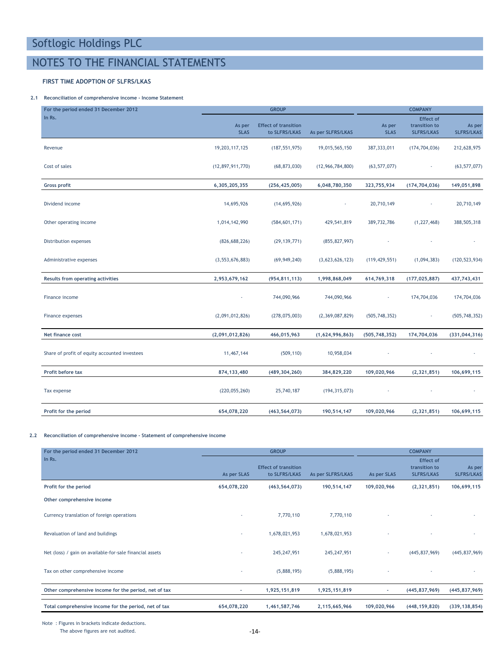### NOTES TO THE FINANCIAL STATEMENTS

### FIRST TIME ADOPTION OF SLFRS/LKAS

### 2.1 Reconciliation of comprehensive income - Income Statement

| For the period ended 31 December 2012         |                       | <b>GROUP</b>                                 |                   |                       | <b>COMPANY</b>                                         |                             |
|-----------------------------------------------|-----------------------|----------------------------------------------|-------------------|-----------------------|--------------------------------------------------------|-----------------------------|
| In Rs.                                        | As per<br><b>SLAS</b> | <b>Effect of transition</b><br>to SLFRS/LKAS | As per SLFRS/LKAS | As per<br><b>SLAS</b> | <b>Effect of</b><br>transition to<br><b>SLFRS/LKAS</b> | As per<br><b>SLFRS/LKAS</b> |
| Revenue                                       | 19,203,117,125        | (187, 551, 975)                              | 19,015,565,150    | 387, 333, 011         | (174, 704, 036)                                        | 212,628,975                 |
| Cost of sales                                 | (12, 897, 911, 770)   | (68, 873, 030)                               | (12,966,784,800)  | (63, 577, 077)        |                                                        | (63, 577, 077)              |
| <b>Gross profit</b>                           | 6,305,205,355         | (256, 425, 005)                              | 6,048,780,350     | 323,755,934           | (174, 704, 036)                                        | 149,051,898                 |
| Dividend income                               | 14,695,926            | (14,695,926)                                 |                   | 20,710,149            |                                                        | 20,710,149                  |
| Other operating income                        | 1,014,142,990         | (584, 601, 171)                              | 429,541,819       | 389,732,786           | (1, 227, 468)                                          | 388,505,318                 |
| Distribution expenses                         | (826, 688, 226)       | (29, 139, 771)                               | (855, 827, 997)   |                       |                                                        |                             |
| Administrative expenses                       | (3, 553, 676, 883)    | (69, 949, 240)                               | (3,623,626,123)   | (119, 429, 551)       | (1,094,383)                                            | (120, 523, 934)             |
| Results from operating activities             | 2,953,679,162         | (954, 811, 113)                              | 1,998,868,049     | 614,769,318           | (177, 025, 887)                                        | 437,743,431                 |
| Finance income                                |                       | 744,090,966                                  | 744,090,966       |                       | 174,704,036                                            | 174,704,036                 |
| Finance expenses                              | (2,091,012,826)       | (278, 075, 003)                              | (2,369,087,829)   | (505, 748, 352)       | ÷                                                      | (505, 748, 352)             |
| Net finance cost                              | (2,091,012,826)       | 466,015,963                                  | (1,624,996,863)   | (505, 748, 352)       | 174,704,036                                            | (331, 044, 316)             |
| Share of profit of equity accounted investees | 11,467,144            | (509, 110)                                   | 10,958,034        |                       |                                                        |                             |
| Profit before tax                             | 874, 133, 480         | (489, 304, 260)                              | 384,829,220       | 109,020,966           | (2, 321, 851)                                          | 106,699,115                 |
| Tax expense                                   | (220, 055, 260)       | 25,740,187                                   | (194, 315, 073)   |                       |                                                        |                             |
| Profit for the period                         | 654,078,220           | (463, 564, 073)                              | 190,514,147       | 109,020,966           | (2, 321, 851)                                          | 106,699,115                 |

#### 2.2 Reconciliation of comprehensive income - Statement of comprehensive income

| For the period ended 31 December 2012                    |             | <b>GROUP</b>                                 | <b>COMPANY</b>    |             |                                                        |                             |
|----------------------------------------------------------|-------------|----------------------------------------------|-------------------|-------------|--------------------------------------------------------|-----------------------------|
| In Rs.                                                   | As per SLAS | <b>Effect of transition</b><br>to SLFRS/LKAS | As per SLFRS/LKAS | As per SLAS | <b>Effect of</b><br>transition to<br><b>SLFRS/LKAS</b> | As per<br><b>SLFRS/LKAS</b> |
| Profit for the period                                    | 654,078,220 | (463, 564, 073)                              | 190,514,147       | 109,020,966 | (2,321,851)                                            | 106,699,115                 |
| Other comprehensive income                               |             |                                              |                   |             |                                                        |                             |
| Currency translation of foreign operations               |             | 7,770,110                                    | 7,770,110         |             |                                                        |                             |
| Revaluation of land and buildings                        |             | 1,678,021,953                                | 1,678,021,953     |             |                                                        |                             |
| Net (loss) / gain on available-for-sale financial assets |             | 245, 247, 951                                | 245, 247, 951     | $\sim$      | (445, 837, 969)                                        | (445, 837, 969)             |
| Tax on other comprehensive income                        |             | (5,888,195)                                  | (5,888,195)       |             |                                                        |                             |
| Other comprehensive income for the period, net of tax    | ٠           | 1,925,151,819                                | 1,925,151,819     | ٠           | (445, 837, 969)                                        | (445, 837, 969)             |
| Total comprehensive income for the period, net of tax    | 654,078,220 | 1,461,587,746                                | 2,115,665,966     | 109,020,966 | (448, 159, 820)                                        | (339, 138, 854)             |

Note : Figures in brackets indicate deductions.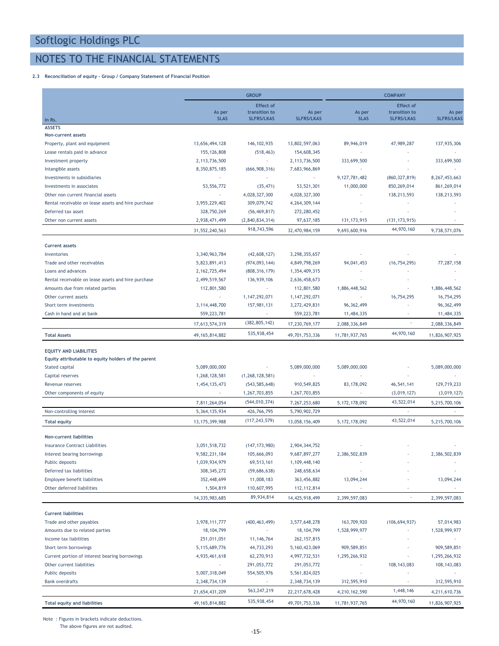### NOTES TO THE FINANCIAL STATEMENTS

### 2.3 Reconciliation of equity - Group / Company Statement of Financial Position

|                                                                       |                             | <b>GROUP</b>                       |                             | <b>COMPANY</b>           |                                    |                             |  |
|-----------------------------------------------------------------------|-----------------------------|------------------------------------|-----------------------------|--------------------------|------------------------------------|-----------------------------|--|
|                                                                       |                             | <b>Effect of</b>                   |                             |                          | <b>Effect of</b>                   |                             |  |
|                                                                       | As per<br><b>SLAS</b>       | transition to<br><b>SLFRS/LKAS</b> | As per<br><b>SLFRS/LKAS</b> | As per<br><b>SLAS</b>    | transition to<br><b>SLFRS/LKAS</b> | As per<br><b>SLFRS/LKAS</b> |  |
| In Rs.<br><b>ASSETS</b>                                               |                             |                                    |                             |                          |                                    |                             |  |
| Non-current assets                                                    |                             |                                    |                             |                          |                                    |                             |  |
| Property, plant and equipment                                         | 13,656,494,128              | 146, 102, 935                      | 13,802,597,063              | 89,946,019               | 47,989,287                         | 137,935,306                 |  |
| Lease rentals paid in advance                                         | 155, 126, 808               | (518, 463)                         | 154,608,345                 |                          | ÷.                                 |                             |  |
| Investment property                                                   | 2,113,736,500               | $\sim$                             | 2,113,736,500               | 333,699,500              |                                    | 333,699,500                 |  |
| Intangible assets                                                     | 8,350,875,185               | (666, 908, 316)                    | 7,683,966,869               |                          |                                    |                             |  |
| Investments in subsidiaries                                           | $\mathcal{L}_{\mathcal{A}}$ | $\sim$                             | ×.                          | 9, 127, 781, 482         | (860, 327, 819)                    | 8, 267, 453, 663            |  |
| Investments in associates                                             | 53, 556, 772                | (35, 471)                          | 53,521,301                  | 11,000,000               | 850,269,014                        | 861,269,014                 |  |
| Other non current financial assets                                    |                             | 4,028,327,300                      | 4,028,327,300               |                          | 138,213,593                        | 138,213,593                 |  |
| Rental receivable on lease assets and hire purchase                   | 3,955,229,402               | 309,079,742                        | 4,264,309,144               |                          |                                    |                             |  |
| Deferred tax asset                                                    | 328,750,269                 | (56, 469, 817)                     | 272,280,452                 |                          |                                    |                             |  |
| Other non current assets                                              | 2,938,471,499               | (2,840,834,314)                    | 97,637,185                  | 131, 173, 915            | (131, 173, 915)                    |                             |  |
|                                                                       | 31,552,240,563              | 918,743,596                        | 32,470,984,159              | 9,693,600,916            | 44,970,160                         | 9,738,571,076               |  |
| <b>Current assets</b>                                                 |                             |                                    |                             |                          |                                    |                             |  |
| Inventories                                                           | 3,340,963,784               | (42,608,127)                       | 3,298,355,657               |                          |                                    |                             |  |
| Trade and other receivables                                           | 5,823,891,413               | (974, 093, 144)                    | 4,849,798,269               | 94,041,453               | (16, 754, 295)                     | 77,287,158                  |  |
| Loans and advances                                                    | 2, 162, 725, 494            | (808, 316, 179)                    | 1,354,409,315               |                          |                                    |                             |  |
| Rental receivable on lease assets and hire purchase                   | 2,499,519,567               | 136,939,106                        | 2,636,458,673               |                          |                                    |                             |  |
| Amounts due from related parties                                      | 112,801,580                 | $\omega$                           | 112,801,580                 | 1,886,448,562            | $\overline{\phantom{a}}$           | 1,886,448,562               |  |
| Other current assets                                                  | $\sim$                      | 1, 147, 292, 071                   | 1, 147, 292, 071            |                          | 16,754,295                         | 16,754,295                  |  |
| Short term investments                                                | 3, 114, 448, 700            | 157,981,131                        | 3,272,429,831               | 96, 362, 499             | ä,                                 | 96, 362, 499                |  |
| Cash in hand and at bank                                              | 559,223,781                 | $\overline{\phantom{a}}$           | 559,223,781                 | 11,484,335               |                                    | 11,484,335                  |  |
|                                                                       | 17,613,574,319              | (382, 805, 142)                    | 17,230,769,177              | 2,088,336,849            | $\overline{\phantom{a}}$           | 2,088,336,849               |  |
| <b>Total Assets</b>                                                   | 49, 165, 814, 882           | 535,938,454                        | 49,701,753,336              | 11,781,937,765           | 44,970,160                         | 11,826,907,925              |  |
|                                                                       |                             |                                    |                             |                          |                                    |                             |  |
| <b>EQUITY AND LIABILITIES</b>                                         |                             |                                    |                             |                          |                                    |                             |  |
| Equity attributable to equity holders of the parent<br>Stated capital | 5,089,000,000               | $\omega$                           | 5,089,000,000               | 5,089,000,000            |                                    | 5,089,000,000               |  |
| Capital reserves                                                      | 1,268,128,581               | (1, 268, 128, 581)                 |                             | $\overline{\phantom{a}}$ |                                    |                             |  |
| Revenue reserves                                                      | 1,454,135,473               | (543, 585, 648)                    | 910,549,825                 | 83,178,092               | 46,541,141                         | 129,719,233                 |  |
| Other components of equity                                            | $\sim$                      | 1,267,703,855                      | 1,267,703,855               | $\sim$                   | (3,019,127)                        | (3,019,127)                 |  |
|                                                                       | 7,811,264,054               | (544, 010, 374)                    | 7,267,253,680               | 5, 172, 178, 092         | 43,522,014                         | 5,215,700,106               |  |
| Non-controlling interest                                              | 5,364,135,934               | 426,766,795                        | 5,790,902,729               |                          | $\sim$                             |                             |  |
| <b>Total equity</b>                                                   | 13, 175, 399, 988           | (117, 243, 579)                    | 13,058,156,409              | 5, 172, 178, 092         | 43,522,014                         | 5,215,700,106               |  |
|                                                                       |                             |                                    |                             |                          |                                    |                             |  |
| Non-current liabilities                                               |                             |                                    |                             |                          |                                    |                             |  |
| <b>Insurance Contract Liabilities</b>                                 | 3,051,518,732               | (147, 173, 980)                    | 2,904,344,752               |                          |                                    |                             |  |
| Interest bearing borrowings                                           | 9,582,231,184               | 105,666,093                        | 9,687,897,277               | 2,386,502,839            |                                    | 2,386,502,839               |  |
| Public deposits                                                       | 1,039,934,979               | 69,513,161                         | 1,109,448,140               |                          |                                    |                             |  |
| Deferred tax liabilities                                              | 308, 345, 272               | (59,686,638)                       | 248,658,634                 |                          |                                    |                             |  |
| Employee benefit liabilities                                          | 352,448,699                 | 11,008,183                         | 363,456,882                 | 13,094,244               |                                    | 13,094,244                  |  |
| Other deferred liabilities                                            | 1,504,819                   | 110,607,995                        | 112, 112, 814               |                          |                                    | ÷                           |  |
|                                                                       | 14,335,983,685              | 89,934,814                         | 14,425,918,499              | 2,399,597,083            | $\overline{\phantom{a}}$           | 2,399,597,083               |  |
| <b>Current liabilities</b>                                            |                             |                                    |                             |                          |                                    |                             |  |
| Trade and other payables                                              | 3,978,111,777               | (400, 463, 499)                    | 3,577,648,278               | 163,709,920              | (106, 694, 937)                    | 57,014,983                  |  |
| Amounts due to related parties                                        | 18, 104, 799                | ٠                                  | 18, 104, 799                | 1,528,999,977            |                                    | 1,528,999,977               |  |
| Income tax liabilities                                                | 251,011,051                 | 11, 146, 764                       | 262, 157, 815               |                          |                                    |                             |  |
| Short term borrowings                                                 | 5,115,689,776               | 44,733,293                         | 5, 160, 423, 069            | 909,589,851              | ä,                                 | 909,589,851                 |  |
| Current portion of interest bearing borrowings                        | 4,935,461,618               | 62,270,913                         | 4,997,732,531               | 1,295,266,932            | $\overline{\phantom{a}}$           | 1,295,266,932               |  |
| Other current liabilities                                             | ٠                           | 291,053,772                        | 291,053,772                 |                          | 108, 143, 083                      | 108, 143, 083               |  |
| Public deposits                                                       | 5,007,318,049               | 554,505,976                        | 5,561,824,025               |                          |                                    |                             |  |
| <b>Bank overdrafts</b>                                                | 2,348,734,139               | ٠                                  | 2,348,734,139               | 312,595,910              | $\sim$                             | 312,595,910                 |  |
|                                                                       | 21,654,431,209              | 563,247,219                        | 22, 217, 678, 428           | 4,210,162,590            | 1,448,146                          | 4,211,610,736               |  |
| Total equity and liabilities                                          | 49, 165, 814, 882           | 535,938,454                        | 49,701,753,336              | 11,781,937,765           | 44,970,160                         | 11,826,907,925              |  |
|                                                                       |                             |                                    |                             |                          |                                    |                             |  |

Note : Figures in brackets indicate deductions.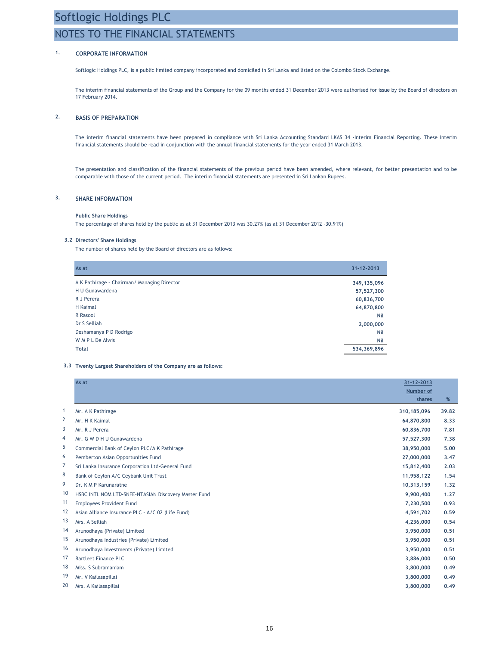### NOTES TO THE FINANCIAL STATEMENTS

### 1. CORPORATE INFORMATION

Softlogic Holdings PLC, is a public limited company incorporated and domiciled in Sri Lanka and listed on the Colombo Stock Exchange.

The interim financial statements of the Group and the Company for the 09 months ended 31 December 2013 were authorised for issue by the Board of directors on 17 February 2014.

### 2. BASIS OF PREPARATION

The interim financial statements have been prepared in compliance with Sri Lanka Accounting Standard LKAS 34 -Interim Financial Reporting. These interim financial statements should be read in conjunction with the annual financial statements for the year ended 31 March 2013.

The presentation and classification of the financial statements of the previous period have been amended, where relevant, for better presentation and to be comparable with those of the current period. The interim financial statements are presented in Sri Lankan Rupees.

### 3. SHARE INFORMATION

#### Public Share Holdings

The percentage of shares held by the public as at 31 December 2013 was 30.27% (as at 31 December 2012 -30.91%)

#### 3.2 Directors' Share Holdings

The number of shares held by the Board of directors are as follows:

| As at                                       | 31-12-2013  |
|---------------------------------------------|-------------|
| A K Pathirage - Chairman/ Managing Director | 349,135,096 |
| H U Gunawardena                             | 57,527,300  |
| R J Perera                                  | 60,836,700  |
| H Kaimal                                    | 64,870,800  |
| R Rasool                                    | Nil         |
| Dr S Selliah                                | 2,000,000   |
| Deshamanya P D Rodrigo                      | Nil         |
| W M P L De Alwis                            | Nil         |
| <b>Total</b>                                | 534,369,896 |
|                                             |             |

#### 3.3 Twenty Largest Shareholders of the Company are as follows:

|              | As at                                                |                     |       |
|--------------|------------------------------------------------------|---------------------|-------|
|              |                                                      | Number of<br>shares | %     |
| $\mathbf{1}$ | Mr. A K Pathirage                                    | 310, 185, 096       | 39.82 |
| 2            | Mr. H K Kaimal                                       | 64,870,800          | 8.33  |
| 3            | Mr. R J Perera                                       | 60,836,700          | 7.81  |
| 4            | Mr. G W D H U Gunawardena                            | 57,527,300          | 7.38  |
| 5            | Commercial Bank of Ceylon PLC/A K Pathirage          | 38,950,000          | 5.00  |
| 6            | Pemberton Asian Opportunities Fund                   | 27,000,000          | 3.47  |
| 7            | Sri Lanka Insurance Corporation Ltd-General Fund     | 15,812,400          | 2.03  |
| 8            | Bank of Ceylon A/C Ceybank Unit Trust                | 11,958,122          | 1.54  |
| 9            | Dr. K M P Karunaratne                                | 10,313,159          | 1.32  |
| 10           | HSBC INTL NOM LTD-SNFE-NTASIAN Discovery Master Fund | 9,900,400           | 1.27  |
| 11           | <b>Employees Provident Fund</b>                      | 7,230,500           | 0.93  |
| 12           | Asian Alliance Insurance PLC - A/C 02 (Life Fund)    | 4,591,702           | 0.59  |
| 13           | Mrs. A Selliah                                       | 4,236,000           | 0.54  |
| 14           | Arunodhaya (Private) Limited                         | 3,950,000           | 0.51  |
| 15           | Arunodhaya Industries (Private) Limited              | 3,950,000           | 0.51  |
| 16           | Arunodhaya Investments (Private) Limited             | 3,950,000           | 0.51  |
| 17           | <b>Bartleet Finance PLC</b>                          | 3,886,000           | 0.50  |
| 18           | Miss. S Subramaniam                                  | 3,800,000           | 0.49  |
| 19           | Mr. V Kailasapillai                                  | 3,800,000           | 0.49  |
| 20           | Mrs. A Kailasapillai                                 | 3,800,000           | 0.49  |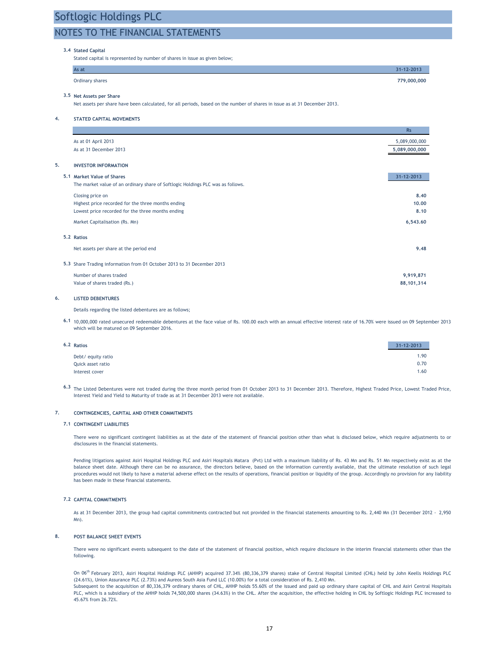### NOTES TO THE FINANCIAL STATEMENTS

#### 3.4 Stated Capital

Stated capital is represented by number of shares in issue as given below;

| As at           | $31 - 12 - 2013$ |
|-----------------|------------------|
| Ordinary shares | 779,000,000      |

#### 3.5 Net Assets per Share

Net assets per share have been calculated, for all periods, based on the number of shares in issue as at 31 December 2013.

4. STATED CAPITAL MOVEMENTS

|                                                                                 | <b>Rs</b>     |
|---------------------------------------------------------------------------------|---------------|
| As at 01 April 2013                                                             | 5,089,000,000 |
| As at 31 December 2013                                                          | 5,089,000,000 |
| 5.<br><b>INVESTOR INFORMATION</b>                                               |               |
| 5.1 Market Value of Shares                                                      | 31-12-2013    |
| The market value of an ordinary share of Softlogic Holdings PLC was as follows. |               |
| Closing price on                                                                | 8.40          |
| Highest price recorded for the three months ending                              | 10.00         |
| Lowest price recorded for the three months ending                               | 8.10          |
| Market Capitalisation (Rs. Mn)                                                  | 6,543.60      |
| 5.2 Ratios                                                                      |               |
| Net assets per share at the period end                                          | 9.48          |
| 5.3 Share Trading information from 01 October 2013 to 31 December 2013          |               |
| Number of shares traded                                                         | 9,919,871     |
| Value of shares traded (Rs.)                                                    | 88, 101, 314  |

#### 6. LISTED DEBENTURES

Details regarding the listed debentures are as follows;

6.1 10,000,000 rated unsecured redeemable debentures at the face value of Rs. 100.00 each with an annual effective interest rate of 16.70% were issued on 09 September 2013 which will be matured on 09 September 2016.

| 6.2 Ratios         | 31-12-2013 |
|--------------------|------------|
| Debt/ equity ratio | 1.90       |
| Quick asset ratio  | 0.70       |
| Interest cover     | 1.60       |

6.3 The Listed Debentures were not traded during the three month period from 01 October 2013 to 31 December 2013. Therefore, Highest Traded Price, Lowest Traded Price, Interest Yield and Yield to Maturity of trade as at 31 December 2013 were not available.

#### 7. CONTINGENCIES, CAPITAL AND OTHER COMMITMENTS

#### 7.1 CONTINGENT LIABILITIES

There were no significant contingent liabilities as at the date of the statement of financial position other than what is disclosed below, which require adjustments to or disclosures in the financial statements.

Pending litigations against Asiri Hospital Holdings PLC and Asiri Hospitals Matara (Pvt) Ltd with a maximum liability of Rs. 43 Mn and Rs. 51 Mn respectively exist as at the balance sheet date. Although there can be no assurance, the directors believe, based on the information currently available, that the ultimate resolution of such legal procedures would not likely to have a material adverse effect on the results of operations, financial position or liquidity of the group. Accordingly no provision for any liability has been made in these financial statements.

#### 7.2 CAPITAL COMMITMENTS

As at 31 December 2013, the group had capital commitments contracted but not provided in the financial statements amounting to Rs. 2,440 Mn (31 December 2012 - 2,950 Mn).

#### 8. POST BALANCE SHEET EVENTS

There were no significant events subsequent to the date of the statement of financial position, which require disclosure in the interim financial statements other than the following.

On 06th February 2013, Asiri Hospital Holdings PLC (AHHP) acquired 37.34% (80,336,379 shares) stake of Central Hospital Limited (CHL) held by John Keells Holdings PLC (24.61%), Union Assurance PLC (2.73%) and Aureos South Asia Fund LLC (10.00%) for a total consideration of Rs. 2,410 Mn. Subsequent to the acquisition of 80,336,379 ordinary shares of CHL, AHHP holds 55.60% of the issued and paid up ordinary share capital of CHL and Asiri Central Hospitals PLC, which is a subsidiary of the AHHP holds 74,500,000 shares (34.63%) in the CHL. After the acquisition, the effective holding in CHL by Softlogic Holdings PLC increased to 45.67% from 26.72%.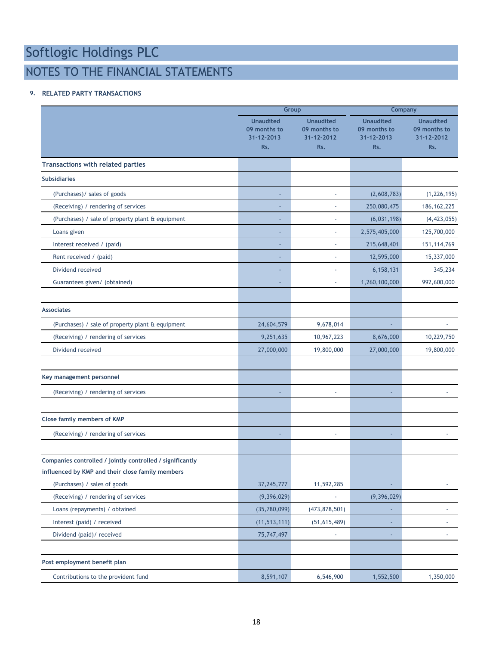## NOTES TO THE FINANCIAL STATEMENTS

### 9. RELATED PARTY TRANSACTIONS

|                                                           |                                                       | Group                                                 |                                                       | Company                                               |  |  |
|-----------------------------------------------------------|-------------------------------------------------------|-------------------------------------------------------|-------------------------------------------------------|-------------------------------------------------------|--|--|
|                                                           | <b>Unaudited</b><br>09 months to<br>31-12-2013<br>Rs. | <b>Unaudited</b><br>09 months to<br>31-12-2012<br>Rs. | <b>Unaudited</b><br>09 months to<br>31-12-2013<br>Rs. | <b>Unaudited</b><br>09 months to<br>31-12-2012<br>Rs. |  |  |
| <b>Transactions with related parties</b>                  |                                                       |                                                       |                                                       |                                                       |  |  |
| <b>Subsidiaries</b>                                       |                                                       |                                                       |                                                       |                                                       |  |  |
| (Purchases)/ sales of goods                               |                                                       | ä,                                                    | (2,608,783)                                           | (1, 226, 195)                                         |  |  |
| (Receiving) / rendering of services                       |                                                       | ٠                                                     | 250,080,475                                           | 186, 162, 225                                         |  |  |
| (Purchases) / sale of property plant & equipment          |                                                       | ÷,                                                    | (6,031,198)                                           | (4, 423, 055)                                         |  |  |
| Loans given                                               |                                                       | ä,                                                    | 2,575,405,000                                         | 125,700,000                                           |  |  |
| Interest received / (paid)                                |                                                       | L,                                                    | 215,648,401                                           | 151, 114, 769                                         |  |  |
| Rent received / (paid)                                    |                                                       | ä,                                                    | 12,595,000                                            | 15,337,000                                            |  |  |
| Dividend received                                         |                                                       |                                                       | 6,158,131                                             | 345,234                                               |  |  |
| Guarantees given/ (obtained)                              |                                                       | ٠                                                     | 1,260,100,000                                         | 992,600,000                                           |  |  |
|                                                           |                                                       |                                                       |                                                       |                                                       |  |  |
| <b>Associates</b>                                         |                                                       |                                                       |                                                       |                                                       |  |  |
| (Purchases) / sale of property plant & equipment          | 24,604,579                                            | 9,678,014                                             |                                                       |                                                       |  |  |
| (Receiving) / rendering of services                       | 9,251,635                                             | 10,967,223                                            | 8,676,000                                             | 10,229,750                                            |  |  |
| Dividend received                                         | 27,000,000                                            | 19,800,000                                            | 27,000,000                                            | 19,800,000                                            |  |  |
|                                                           |                                                       |                                                       |                                                       |                                                       |  |  |
| Key management personnel                                  |                                                       |                                                       |                                                       |                                                       |  |  |
| (Receiving) / rendering of services                       |                                                       |                                                       |                                                       |                                                       |  |  |
|                                                           |                                                       |                                                       |                                                       |                                                       |  |  |
| Close family members of KMP                               |                                                       |                                                       |                                                       |                                                       |  |  |
| (Receiving) / rendering of services                       |                                                       | $\overline{\phantom{a}}$                              |                                                       |                                                       |  |  |
| Companies controlled / jointly controlled / significantly |                                                       |                                                       |                                                       |                                                       |  |  |
| influenced by KMP and their close family members          |                                                       |                                                       |                                                       |                                                       |  |  |
| (Purchases) / sales of goods                              | 37, 245, 777                                          | 11,592,285                                            |                                                       |                                                       |  |  |
| (Receiving) / rendering of services                       | (9,396,029)                                           |                                                       | (9, 396, 029)                                         |                                                       |  |  |
| Loans (repayments) / obtained                             | (35,780,099)                                          | (473, 878, 501)                                       |                                                       |                                                       |  |  |
| Interest (paid) / received                                | (11, 513, 111)                                        | (51,615,489)                                          |                                                       |                                                       |  |  |
| Dividend (paid)/ received                                 | 75,747,497                                            |                                                       |                                                       |                                                       |  |  |
|                                                           |                                                       |                                                       |                                                       |                                                       |  |  |
| Post employment benefit plan                              |                                                       |                                                       |                                                       |                                                       |  |  |
| Contributions to the provident fund                       | 8,591,107                                             | 6,546,900                                             | 1,552,500                                             | 1,350,000                                             |  |  |